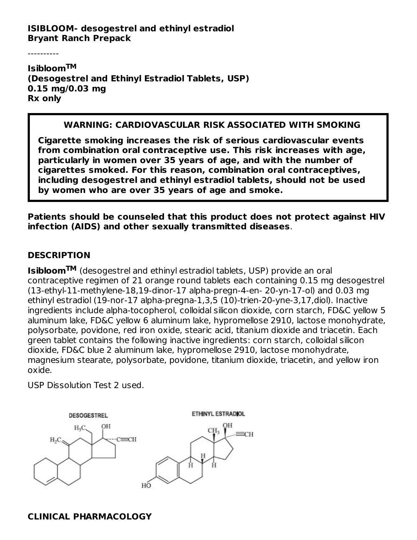#### **ISIBLOOM- desogestrel and ethinyl estradiol Bryant Ranch Prepack**

----------

**Isibloom TM (Desogestrel and Ethinyl Estradiol Tablets, USP) 0.15 mg/0.03 mg Rx only**

#### **WARNING: CARDIOVASCULAR RISK ASSOCIATED WITH SMOKING**

**Cigarette smoking increases the risk of serious cardiovascular events from combination oral contraceptive use. This risk increases with age, particularly in women over 35 years of age, and with the number of cigarettes smoked. For this reason, combination oral contraceptives, including desogestrel and ethinyl estradiol tablets, should not be used by women who are over 35 years of age and smoke.**

#### **Patients should be counseled that this product does not protect against HIV infection (AIDS) and other sexually transmitted diseases**.

#### **DESCRIPTION**

**Isibloom™** (desogestrel and ethinyl estradiol tablets, USP) provide an oral contraceptive regimen of 21 orange round tablets each containing 0.15 mg desogestrel (13-ethyl-11-methylene-18,19-dinor-17 alpha-pregn-4-en- 20-yn-17-ol) and 0.03 mg ethinyl estradiol (19-nor-17 alpha-pregna-1,3,5 (10)-trien-20-yne-3,17,diol). Inactive ingredients include alpha-tocopherol, colloidal silicon dioxide, corn starch, FD&C yellow 5 aluminum lake, FD&C yellow 6 aluminum lake, hypromellose 2910, lactose monohydrate, polysorbate, povidone, red iron oxide, stearic acid, titanium dioxide and triacetin. Each green tablet contains the following inactive ingredients: corn starch, colloidal silicon dioxide, FD&C blue 2 aluminum lake, hypromellose 2910, lactose monohydrate, magnesium stearate, polysorbate, povidone, titanium dioxide, triacetin, and yellow iron oxide.

USP Dissolution Test 2 used.



#### **CLINICAL PHARMACOLOGY**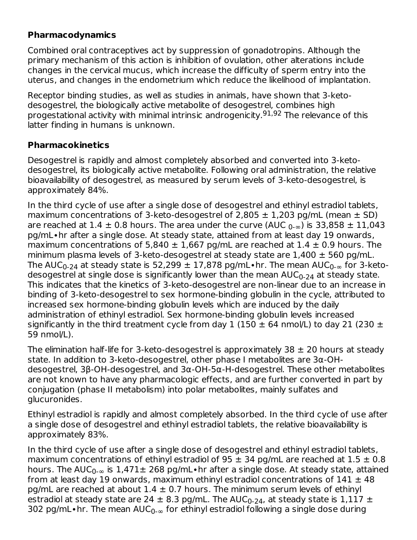### **Pharmacodynamics**

Combined oral contraceptives act by suppression of gonadotropins. Although the primary mechanism of this action is inhibition of ovulation, other alterations include changes in the cervical mucus, which increase the difficulty of sperm entry into the uterus, and changes in the endometrium which reduce the likelihood of implantation.

Receptor binding studies, as well as studies in animals, have shown that 3-ketodesogestrel, the biologically active metabolite of desogestrel, combines high progestational activity with minimal intrinsic androgenicity.<sup>91,92</sup> The relevance of this latter finding in humans is unknown.

## **Pharmacokinetics**

Desogestrel is rapidly and almost completely absorbed and converted into 3-ketodesogestrel, its biologically active metabolite. Following oral administration, the relative bioavailability of desogestrel, as measured by serum levels of 3-keto-desogestrel, is approximately 84%.

In the third cycle of use after a single dose of desogestrel and ethinyl estradiol tablets, maximum concentrations of 3-keto-desogestrel of 2,805  $\pm$  1,203 pg/mL (mean  $\pm$  SD) are reached at  $1.4\pm0.8$  hours. The area under the curve (AUC  $_{0\text{-}\infty}$ ) is 33,858  $\pm$   $11,043$ pg/mL∙hr after a single dose. At steady state, attained from at least day 19 onwards, maximum concentrations of 5,840  $\pm$  1,667 pg/mL are reached at 1.4  $\pm$  0.9 hours. The minimum plasma levels of 3-keto-desogestrel at steady state are  $1,400 \pm 560$  pg/mL. The AUC $_{\rm 0\text{-}24}$  at steady state is 52,299  $\pm$  17,878 pg/mL•hr. The mean AUC $_{\rm 0\text{-}x}$  for 3-ketodesogestrel at single dose is significantly lower than the mean  $\mathsf{AUC}_{0\text{-}24}$  at steady state. This indicates that the kinetics of 3-keto-desogestrel are non-linear due to an increase in binding of 3-keto-desogestrel to sex hormone-binding globulin in the cycle, attributed to increased sex hormone-binding globulin levels which are induced by the daily administration of ethinyl estradiol. Sex hormone-binding globulin levels increased significantly in the third treatment cycle from day 1 (150  $\pm$  64 nmol/L) to day 21 (230  $\pm$ 59 nmol/L).

The elimination half-life for 3-keto-desogestrel is approximately 38  $\pm$  20 hours at steady state. In addition to 3-keto-desogestrel, other phase I metabolites are 3α-OHdesogestrel, 3β-OH-desogestrel, and 3α-OH-5α-H-desogestrel. These other metabolites are not known to have any pharmacologic effects, and are further converted in part by conjugation (phase II metabolism) into polar metabolites, mainly sulfates and glucuronides.

Ethinyl estradiol is rapidly and almost completely absorbed. In the third cycle of use after a single dose of desogestrel and ethinyl estradiol tablets, the relative bioavailability is approximately 83%.

In the third cycle of use after a single dose of desogestrel and ethinyl estradiol tablets, maximum concentrations of ethinyl estradiol of 95  $\pm$  34 pg/mL are reached at 1.5  $\pm$  0.8 hours. The AUC $_{\rm 0\text{-}\infty}$  is 1,471 $\pm$  268 pg/mL∙hr after a single dose. At steady state, attained from at least day 19 onwards, maximum ethinyl estradiol concentrations of  $141 \pm 48$ pg/mL are reached at about  $1.4 \pm 0.7$  hours. The minimum serum levels of ethinyl estradiol at steady state are 24  $\pm$  8.3 pg/mL. The AUC $_{0\text{-}24}$ , at steady state is 1,117  $\pm$ 302 pg/mL•hr. The mean AUC $_{0\text{-}\infty}$  for ethinyl estradiol following a single dose during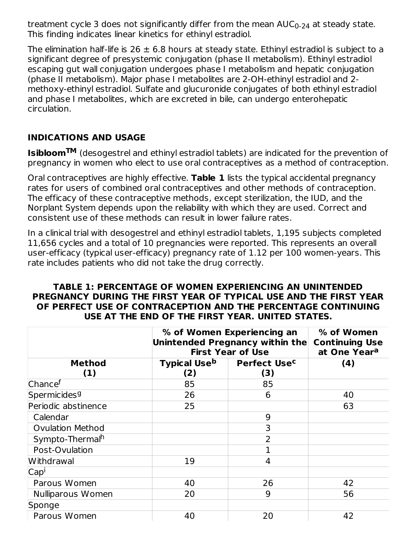treatment cycle 3 does not significantly differ from the mean  $\mathsf{AUC}_{0\text{-}24}$  at steady state. This finding indicates linear kinetics for ethinyl estradiol.

The elimination half-life is 26  $\pm$  6.8 hours at steady state. Ethinyl estradiol is subject to a significant degree of presystemic conjugation (phase II metabolism). Ethinyl estradiol escaping gut wall conjugation undergoes phase I metabolism and hepatic conjugation (phase II metabolism). Major phase I metabolites are 2-OH-ethinyl estradiol and 2 methoxy-ethinyl estradiol. Sulfate and glucuronide conjugates of both ethinyl estradiol and phase I metabolites, which are excreted in bile, can undergo enterohepatic circulation.

### **INDICATIONS AND USAGE**

**Isibloom™** (desogestrel and ethinyl estradiol tablets) are indicated for the prevention of pregnancy in women who elect to use oral contraceptives as a method of contraception.

Oral contraceptives are highly effective. **Table 1** lists the typical accidental pregnancy rates for users of combined oral contraceptives and other methods of contraception. The efficacy of these contraceptive methods, except sterilization, the IUD, and the Norplant System depends upon the reliability with which they are used. Correct and consistent use of these methods can result in lower failure rates.

In a clinical trial with desogestrel and ethinyl estradiol tablets, 1,195 subjects completed 11,656 cycles and a total of 10 pregnancies were reported. This represents an overall user-efficacy (typical user-efficacy) pregnancy rate of 1.12 per 100 women-years. This rate includes patients who did not take the drug correctly.

#### **TABLE 1: PERCENTAGE OF WOMEN EXPERIENCING AN UNINTENDED PREGNANCY DURING THE FIRST YEAR OF TYPICAL USE AND THE FIRST YEAR OF PERFECT USE OF CONTRACEPTION AND THE PERCENTAGE CONTINUING USE AT THE END OF THE FIRST YEAR. UNITED STATES.**

|                          |                            | % of Women Experiencing an<br>Unintended Pregnancy within the<br><b>First Year of Use</b> |     |  |  |
|--------------------------|----------------------------|-------------------------------------------------------------------------------------------|-----|--|--|
| <b>Method</b><br>(1)     | <b>Typical Useb</b><br>(2) | Perfect Use <sup>c</sup><br>(3)                                                           | (4) |  |  |
| Chancef                  | 85                         | 85                                                                                        |     |  |  |
| Spermicides <sup>9</sup> | 26                         | 6                                                                                         | 40  |  |  |
| Periodic abstinence      | 25                         |                                                                                           | 63  |  |  |
| Calendar                 |                            | 9                                                                                         |     |  |  |
| <b>Ovulation Method</b>  |                            | 3                                                                                         |     |  |  |
| Sympto-Thermalh          |                            | $\overline{2}$                                                                            |     |  |  |
| Post-Ovulation           |                            |                                                                                           |     |  |  |
| Withdrawal               | 19                         | 4                                                                                         |     |  |  |
| Capi                     |                            |                                                                                           |     |  |  |
| Parous Women             | 40                         | 26                                                                                        | 42  |  |  |
| Nulliparous Women        | 20                         | 9                                                                                         | 56  |  |  |
| Sponge                   |                            |                                                                                           |     |  |  |
| Parous Women             | 40                         | 20                                                                                        | 42  |  |  |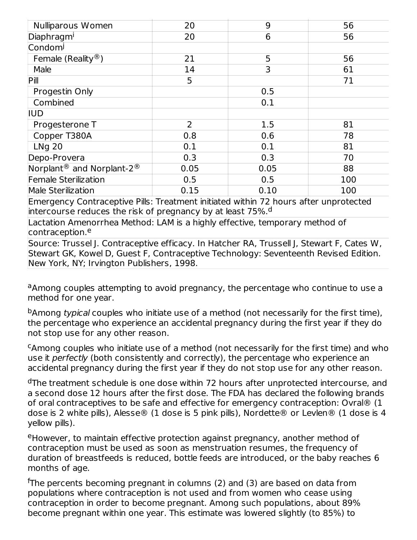| Nulliparous Women                                                                                                                                               | 20             | 9    | 56  |  |  |
|-----------------------------------------------------------------------------------------------------------------------------------------------------------------|----------------|------|-----|--|--|
| Diaphragm <sup>i</sup>                                                                                                                                          | 20             | 6    | 56  |  |  |
| Condom <sup>j</sup>                                                                                                                                             |                |      |     |  |  |
| Female (Reality <sup>®</sup> )                                                                                                                                  | 21             | 5    | 56  |  |  |
| Male                                                                                                                                                            | 14             | 3    | 61  |  |  |
| Pill                                                                                                                                                            | 5              |      | 71  |  |  |
| Progestin Only                                                                                                                                                  |                | 0.5  |     |  |  |
| Combined                                                                                                                                                        |                | 0.1  |     |  |  |
| <b>IUD</b>                                                                                                                                                      |                |      |     |  |  |
| Progesterone T                                                                                                                                                  | $\overline{2}$ | 1.5  | 81  |  |  |
| Copper T380A                                                                                                                                                    | 0.8            | 0.6  | 78  |  |  |
| $L$ Ng 20                                                                                                                                                       | 0.1            | 0.1  | 81  |  |  |
| Depo-Provera                                                                                                                                                    | 0.3            | 0.3  | 70  |  |  |
| Norplant <sup>®</sup> and Norplant-2 <sup>®</sup>                                                                                                               | 0.05           | 0.05 | 88  |  |  |
| <b>Female Sterilization</b>                                                                                                                                     | 0.5            | 0.5  | 100 |  |  |
| <b>Male Sterilization</b>                                                                                                                                       | 0.15           | 0.10 | 100 |  |  |
| Emergency Contraceptive Pills: Treatment initiated within 72 hours after unprotected<br>intercourse reduces the risk of pregnancy by at least 75%. <sup>d</sup> |                |      |     |  |  |

Lactation Amenorrhea Method: LAM is a highly effective, temporary method of contraception. e

Source: Trussel J. Contraceptive efficacy. In Hatcher RA, Trussell J, Stewart F, Cates W, Stewart GK, Kowel D, Guest F, Contraceptive Technology: Seventeenth Revised Edition. New York, NY; Irvington Publishers, 1998.

<sup>a</sup>Among couples attempting to avoid pregnancy, the percentage who continue to use a method for one year.

<sup>b</sup>Among *typical* couples who initiate use of a method (not necessarily for the first time), the percentage who experience an accidental pregnancy during the first year if they do not stop use for any other reason.

<sup>c</sup>Among couples who initiate use of a method (not necessarily for the first time) and who use it perfectly (both consistently and correctly), the percentage who experience an accidental pregnancy during the first year if they do not stop use for any other reason.

<sup>d</sup>The treatment schedule is one dose within 72 hours after unprotected intercourse, and a second dose 12 hours after the first dose. The FDA has declared the following brands of oral contraceptives to be safe and effective for emergency contraception: Ovral® (1 dose is 2 white pills), Alesse® (1 dose is 5 pink pills), Nordette® or Levlen® (1 dose is 4 yellow pills).

eHowever, to maintain effective protection against pregnancy, another method of contraception must be used as soon as menstruation resumes, the frequency of duration of breastfeeds is reduced, bottle feeds are introduced, or the baby reaches 6 months of age.

The percents becoming pregnant in columns (2) and (3) are based on data from fpopulations where contraception is not used and from women who cease using contraception in order to become pregnant. Among such populations, about 89% become pregnant within one year. This estimate was lowered slightly (to 85%) to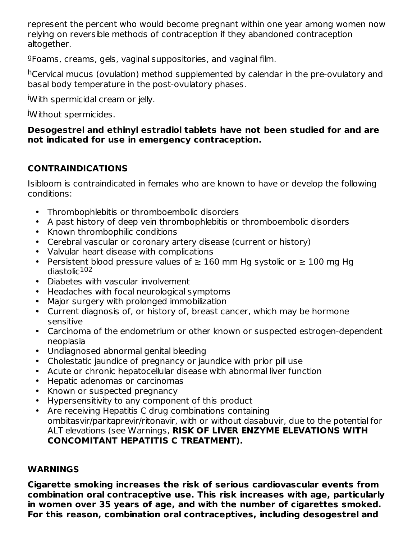represent the percent who would become pregnant within one year among women now relying on reversible methods of contraception if they abandoned contraception altogether.

<sup>g</sup>Foams, creams, gels, vaginal suppositories, and vaginal film.

hCervical mucus (ovulation) method supplemented by calendar in the pre-ovulatory and basal body temperature in the post-ovulatory phases.

With spermicidal cream or jelly.

<sup>j</sup>Without spermicides.

#### **Desogestrel and ethinyl estradiol tablets have not been studied for and are not indicated for use in emergency contraception.**

# **CONTRAINDICATIONS**

Isibloom is contraindicated in females who are known to have or develop the following conditions:

- Thrombophlebitis or thromboembolic disorders
- A past history of deep vein thrombophlebitis or thromboembolic disorders
- Known thrombophilic conditions
- Cerebral vascular or coronary artery disease (current or history)
- Valvular heart disease with complications
- Persistent blood pressure values of  $\geq 160$  mm Hg systolic or  $\geq 100$  mg Hg diastolic 102
- Diabetes with vascular involvement
- Headaches with focal neurological symptoms
- Major surgery with prolonged immobilization
- Current diagnosis of, or history of, breast cancer, which may be hormone sensitive
- Carcinoma of the endometrium or other known or suspected estrogen-dependent neoplasia
- Undiagnosed abnormal genital bleeding
- Cholestatic jaundice of pregnancy or jaundice with prior pill use
- Acute or chronic hepatocellular disease with abnormal liver function
- Hepatic adenomas or carcinomas
- Known or suspected pregnancy
- Hypersensitivity to any component of this product
- Are receiving Hepatitis C drug combinations containing ombitasvir/paritaprevir/ritonavir, with or without dasabuvir, due to the potential for ALT elevations (see Warnings, **RISK OF LIVER ENZYME ELEVATIONS WITH CONCOMITANT HEPATITIS C TREATMENT).**

# **WARNINGS**

**Cigarette smoking increases the risk of serious cardiovascular events from combination oral contraceptive use. This risk increases with age, particularly in women over 35 years of age, and with the number of cigarettes smoked. For this reason, combination oral contraceptives, including desogestrel and**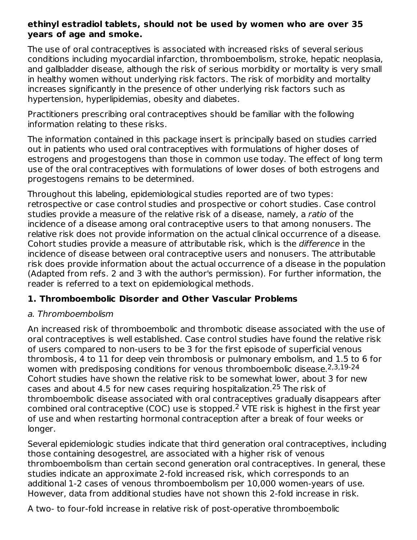#### **ethinyl estradiol tablets, should not be used by women who are over 35 years of age and smoke.**

The use of oral contraceptives is associated with increased risks of several serious conditions including myocardial infarction, thromboembolism, stroke, hepatic neoplasia, and gallbladder disease, although the risk of serious morbidity or mortality is very small in healthy women without underlying risk factors. The risk of morbidity and mortality increases significantly in the presence of other underlying risk factors such as hypertension, hyperlipidemias, obesity and diabetes.

Practitioners prescribing oral contraceptives should be familiar with the following information relating to these risks.

The information contained in this package insert is principally based on studies carried out in patients who used oral contraceptives with formulations of higher doses of estrogens and progestogens than those in common use today. The effect of long term use of the oral contraceptives with formulations of lower doses of both estrogens and progestogens remains to be determined.

Throughout this labeling, epidemiological studies reported are of two types: retrospective or case control studies and prospective or cohort studies. Case control studies provide a measure of the relative risk of a disease, namely, a ratio of the incidence of a disease among oral contraceptive users to that among nonusers. The relative risk does not provide information on the actual clinical occurrence of a disease. Cohort studies provide a measure of attributable risk, which is the difference in the incidence of disease between oral contraceptive users and nonusers. The attributable risk does provide information about the actual occurrence of a disease in the population (Adapted from refs. 2 and 3 with the author's permission). For further information, the reader is referred to a text on epidemiological methods.

### **1. Thromboembolic Disorder and Other Vascular Problems**

#### a. Thromboembolism

An increased risk of thromboembolic and thrombotic disease associated with the use of oral contraceptives is well established. Case control studies have found the relative risk of users compared to non-users to be 3 for the first episode of superficial venous thrombosis, 4 to 11 for deep vein thrombosis or pulmonary embolism, and 1.5 to 6 for women with predisposing conditions for venous thromboembolic disease. 2,3,19-24 Cohort studies have shown the relative risk to be somewhat lower, about 3 for new cases and about 4.5 for new cases requiring hospitalization.<sup>25</sup> The risk of thromboembolic disease associated with oral contraceptives gradually disappears after combined oral contraceptive (COC) use is stopped.<sup>2</sup> VTE risk is highest in the first year of use and when restarting hormonal contraception after a break of four weeks or longer.

Several epidemiologic studies indicate that third generation oral contraceptives, including those containing desogestrel, are associated with a higher risk of venous thromboembolism than certain second generation oral contraceptives. In general, these studies indicate an approximate 2-fold increased risk, which corresponds to an additional 1-2 cases of venous thromboembolism per 10,000 women-years of use. However, data from additional studies have not shown this 2-fold increase in risk.

A two- to four-fold increase in relative risk of post-operative thromboembolic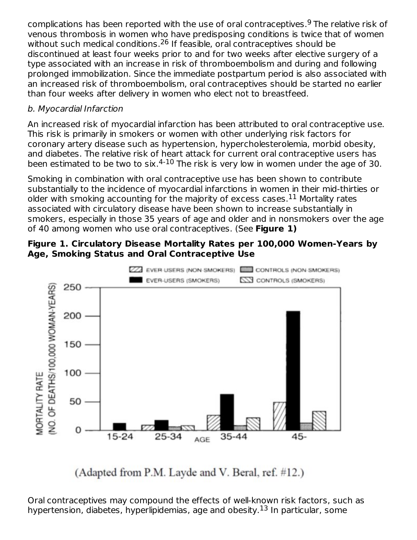complications has been reported with the use of oral contraceptives.<sup>9</sup> The relative risk of venous thrombosis in women who have predisposing conditions is twice that of women without such medical conditions.<sup>26</sup> If feasible, oral contraceptives should be discontinued at least four weeks prior to and for two weeks after elective surgery of a type associated with an increase in risk of thromboembolism and during and following prolonged immobilization. Since the immediate postpartum period is also associated with an increased risk of thromboembolism, oral contraceptives should be started no earlier than four weeks after delivery in women who elect not to breastfeed.

#### b. Myocardial Infarction

An increased risk of myocardial infarction has been attributed to oral contraceptive use. This risk is primarily in smokers or women with other underlying risk factors for coronary artery disease such as hypertension, hypercholesterolemia, morbid obesity, and diabetes. The relative risk of heart attack for current oral contraceptive users has been estimated to be two to six. $4$ -10 The risk is very low in women under the age of 30.

Smoking in combination with oral contraceptive use has been shown to contribute substantially to the incidence of myocardial infarctions in women in their mid-thirties or older with smoking accounting for the majority of excess cases. $^\mathrm{11}$  Mortality rates associated with circulatory disease have been shown to increase substantially in smokers, especially in those 35 years of age and older and in nonsmokers over the age of 40 among women who use oral contraceptives. (See **Figure 1)**

#### **Figure 1. Circulatory Disease Mortality Rates per 100,000 Women-Years by Age, Smoking Status and Oral Contraceptive Use**



(Adapted from P.M. Layde and V. Beral, ref. #12.)

Oral contraceptives may compound the effects of well-known risk factors, such as hypertension, diabetes, hyperlipidemias, age and obesity.<sup>13</sup> In particular, some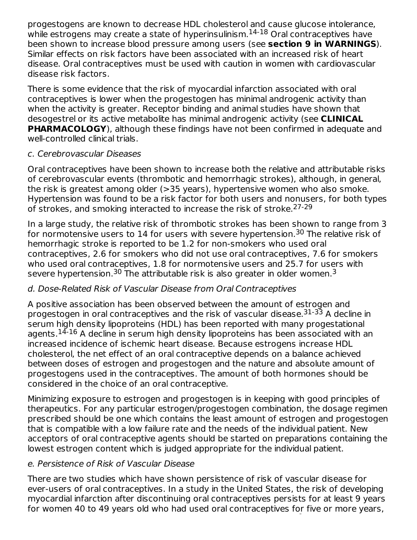progestogens are known to decrease HDL cholesterol and cause glucose intolerance, while estrogens may create a state of hyperinsulinism. $^{14\text{-}18}$  Oral contraceptives have been shown to increase blood pressure among users (see **section 9 in WARNINGS**). Similar effects on risk factors have been associated with an increased risk of heart disease. Oral contraceptives must be used with caution in women with cardiovascular disease risk factors.

There is some evidence that the risk of myocardial infarction associated with oral contraceptives is lower when the progestogen has minimal androgenic activity than when the activity is greater. Receptor binding and animal studies have shown that desogestrel or its active metabolite has minimal androgenic activity (see **CLINICAL PHARMACOLOGY**), although these findings have not been confirmed in adequate and well-controlled clinical trials.

#### c. Cerebrovascular Diseases

Oral contraceptives have been shown to increase both the relative and attributable risks of cerebrovascular events (thrombotic and hemorrhagic strokes), although, in general, the risk is greatest among older (>35 years), hypertensive women who also smoke. Hypertension was found to be a risk factor for both users and nonusers, for both types of strokes, and smoking interacted to increase the risk of stroke.<sup>27-29</sup>

In a large study, the relative risk of thrombotic strokes has been shown to range from 3 for normotensive users to 14 for users with severe hypertension.<sup>30</sup> The relative risk of hemorrhagic stroke is reported to be 1.2 for non-smokers who used oral contraceptives, 2.6 for smokers who did not use oral contraceptives, 7.6 for smokers who used oral contraceptives, 1.8 for normotensive users and 25.7 for users with severe hypertension. $^{30}$  The attributable risk is also greater in older women. $^3$ 

# d. Dose-Related Risk of Vascular Disease from Oral Contraceptives

A positive association has been observed between the amount of estrogen and progestogen in oral contraceptives and the risk of vascular disease.<sup>31-33</sup> A decline in serum high density lipoproteins (HDL) has been reported with many progestational agents.<sup>14-16</sup> A decline in serum high density lipoproteins has been associated with an increased incidence of ischemic heart disease. Because estrogens increase HDL cholesterol, the net effect of an oral contraceptive depends on a balance achieved between doses of estrogen and progestogen and the nature and absolute amount of progestogens used in the contraceptives. The amount of both hormones should be considered in the choice of an oral contraceptive.

Minimizing exposure to estrogen and progestogen is in keeping with good principles of therapeutics. For any particular estrogen/progestogen combination, the dosage regimen prescribed should be one which contains the least amount of estrogen and progestogen that is compatible with a low failure rate and the needs of the individual patient. New acceptors of oral contraceptive agents should be started on preparations containing the lowest estrogen content which is judged appropriate for the individual patient.

### e. Persistence of Risk of Vascular Disease

There are two studies which have shown persistence of risk of vascular disease for ever-users of oral contraceptives. In a study in the United States, the risk of developing myocardial infarction after discontinuing oral contraceptives persists for at least 9 years for women 40 to 49 years old who had used oral contraceptives for five or more years,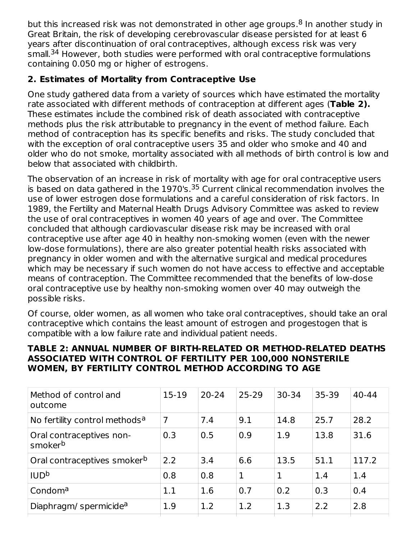but this increased risk was not demonstrated in other age groups.<sup>8</sup> In another study in Great Britain, the risk of developing cerebrovascular disease persisted for at least 6 years after discontinuation of oral contraceptives, although excess risk was very small.<sup>34</sup> However, both studies were performed with oral contraceptive formulations containing 0.050 mg or higher of estrogens.

## **2. Estimates of Mortality from Contraceptive Use**

One study gathered data from a variety of sources which have estimated the mortality rate associated with different methods of contraception at different ages (**Table 2).** These estimates include the combined risk of death associated with contraceptive methods plus the risk attributable to pregnancy in the event of method failure. Each method of contraception has its specific benefits and risks. The study concluded that with the exception of oral contraceptive users 35 and older who smoke and 40 and older who do not smoke, mortality associated with all methods of birth control is low and below that associated with childbirth.

The observation of an increase in risk of mortality with age for oral contraceptive users is based on data gathered in the 1970's.<sup>35</sup> Current clinical recommendation involves the use of lower estrogen dose formulations and a careful consideration of risk factors. In 1989, the Fertility and Maternal Health Drugs Advisory Committee was asked to review the use of oral contraceptives in women 40 years of age and over. The Committee concluded that although cardiovascular disease risk may be increased with oral contraceptive use after age 40 in healthy non-smoking women (even with the newer low-dose formulations), there are also greater potential health risks associated with pregnancy in older women and with the alternative surgical and medical procedures which may be necessary if such women do not have access to effective and acceptable means of contraception. The Committee recommended that the benefits of low-dose oral contraceptive use by healthy non-smoking women over 40 may outweigh the possible risks.

Of course, older women, as all women who take oral contraceptives, should take an oral contraceptive which contains the least amount of estrogen and progestogen that is compatible with a low failure rate and individual patient needs.

#### **TABLE 2: ANNUAL NUMBER OF BIRTH-RELATED OR METHOD-RELATED DEATHS ASSOCIATED WITH CONTROL OF FERTILITY PER 100,000 NONSTERILE WOMEN, BY FERTILITY CONTROL METHOD ACCORDING TO AGE**

| Method of control and<br>outcome                | 15-19          | $20 - 24$ | $25 - 29$ | $30 - 34$ | 35-39 | $40 - 44$ |
|-------------------------------------------------|----------------|-----------|-----------|-----------|-------|-----------|
| No fertility control methods <sup>a</sup>       | $\overline{7}$ | 7.4       | 9.1       | 14.8      | 25.7  | 28.2      |
| Oral contraceptives non-<br>smoker <sup>b</sup> | 0.3            | 0.5       | 0.9       | 1.9       | 13.8  | 31.6      |
| Oral contraceptives smoker <sup>b</sup>         | 2.2            | 3.4       | 6.6       | 13.5      | 51.1  | 117.2     |
| IUD <sup>b</sup>                                | 0.8            | 0.8       | 1         | 1         | 1.4   | 1.4       |
| Condom <sup>a</sup>                             | 1.1            | 1.6       | 0.7       | 0.2       | 0.3   | 0.4       |
| Diaphragm/ spermicide <sup>a</sup>              | 1.9            | 1.2       | 1.2       | 1.3       | 2.2   | 2.8       |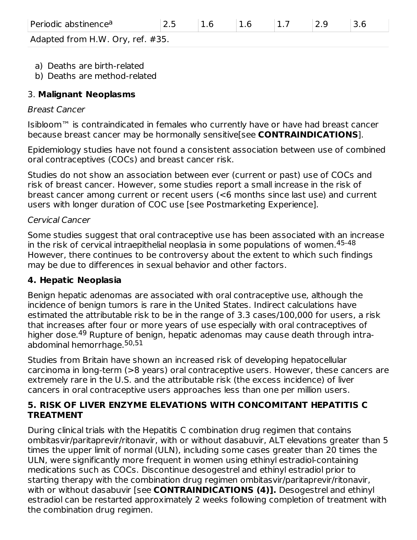| Periodic abstinence <sup>a</sup> |  |  | $1.6$ $1.6$ $1.7$ |  | 2.9 |  |
|----------------------------------|--|--|-------------------|--|-----|--|
| Adapted from H.W. Ory, ref. #35. |  |  |                   |  |     |  |

- a) Deaths are birth-related
- b) Deaths are method-related

### 3. **Malignant Neoplasms**

#### Breast Cancer

Isibloom™ is contraindicated in females who currently have or have had breast cancer because breast cancer may be hormonally sensitive[see **CONTRAINDICATIONS**].

Epidemiology studies have not found a consistent association between use of combined oral contraceptives (COCs) and breast cancer risk.

Studies do not show an association between ever (current or past) use of COCs and risk of breast cancer. However, some studies report a small increase in the risk of breast cancer among current or recent users (<6 months since last use) and current users with longer duration of COC use [see Postmarketing Experience].

### Cervical Cancer

Some studies suggest that oral contraceptive use has been associated with an increase in the risk of cervical intraepithelial neoplasia in some populations of women. 45-48 However, there continues to be controversy about the extent to which such findings may be due to differences in sexual behavior and other factors.

# **4. Hepatic Neoplasia**

Benign hepatic adenomas are associated with oral contraceptive use, although the incidence of benign tumors is rare in the United States. Indirect calculations have estimated the attributable risk to be in the range of 3.3 cases/100,000 for users, a risk that increases after four or more years of use especially with oral contraceptives of higher dose.<sup>49</sup> Rupture of benign, hepatic adenomas may cause death through intraabdominal hemorrhage. 50,51

Studies from Britain have shown an increased risk of developing hepatocellular carcinoma in long-term (>8 years) oral contraceptive users. However, these cancers are extremely rare in the U.S. and the attributable risk (the excess incidence) of liver cancers in oral contraceptive users approaches less than one per million users.

### **5. RISK OF LIVER ENZYME ELEVATIONS WITH CONCOMITANT HEPATITIS C TREATMENT**

During clinical trials with the Hepatitis C combination drug regimen that contains ombitasvir/paritaprevir/ritonavir, with or without dasabuvir, ALT elevations greater than 5 times the upper limit of normal (ULN), including some cases greater than 20 times the ULN, were significantly more frequent in women using ethinyl estradiol-containing medications such as COCs. Discontinue desogestrel and ethinyl estradiol prior to starting therapy with the combination drug regimen ombitasvir/paritaprevir/ritonavir, with or without dasabuvir [see **CONTRAINDICATIONS (4)].** Desogestrel and ethinyl estradiol can be restarted approximately 2 weeks following completion of treatment with the combination drug regimen.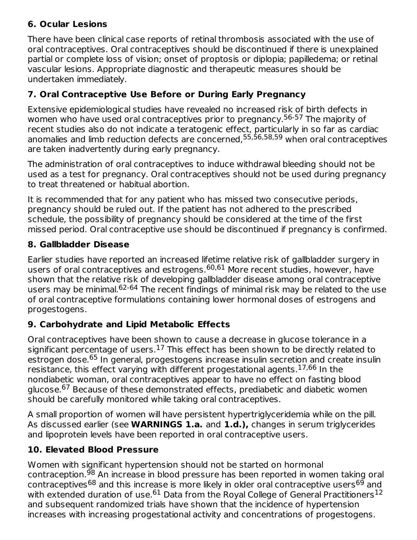## **6. Ocular Lesions**

There have been clinical case reports of retinal thrombosis associated with the use of oral contraceptives. Oral contraceptives should be discontinued if there is unexplained partial or complete loss of vision; onset of proptosis or diplopia; papilledema; or retinal vascular lesions. Appropriate diagnostic and therapeutic measures should be undertaken immediately.

## **7. Oral Contraceptive Use Before or During Early Pregnancy**

Extensive epidemiological studies have revealed no increased risk of birth defects in women who have used oral contraceptives prior to pregnancy.<sup>56-57</sup> The majority of recent studies also do not indicate a teratogenic effect, particularly in so far as cardiac anomalies and limb reduction defects are concerned,<sup>55,56,58,59</sup> when oral contraceptives are taken inadvertently during early pregnancy.

The administration of oral contraceptives to induce withdrawal bleeding should not be used as a test for pregnancy. Oral contraceptives should not be used during pregnancy to treat threatened or habitual abortion.

It is recommended that for any patient who has missed two consecutive periods, pregnancy should be ruled out. If the patient has not adhered to the prescribed schedule, the possibility of pregnancy should be considered at the time of the first missed period. Oral contraceptive use should be discontinued if pregnancy is confirmed.

### **8. Gallbladder Disease**

Earlier studies have reported an increased lifetime relative risk of gallbladder surgery in users of oral contraceptives and estrogens.<sup>60,61</sup> More recent studies, however, have shown that the relative risk of developing gallbladder disease among oral contraceptive users may be minimal.<sup>62-64</sup> The recent findings of minimal risk may be related to the use of oral contraceptive formulations containing lower hormonal doses of estrogens and progestogens.

# **9. Carbohydrate and Lipid Metabolic Effects**

Oral contraceptives have been shown to cause a decrease in glucose tolerance in a significant percentage of users.<sup>17</sup> This effect has been shown to be directly related to estrogen dose.<sup>65</sup> In general, progestogens increase insulin secretion and create insulin resistance, this effect varying with different progestational agents. 17,66 In the nondiabetic woman, oral contraceptives appear to have no effect on fasting blood glucose.<sup>67</sup> Because of these demonstrated effects, prediabetic and diabetic women should be carefully monitored while taking oral contraceptives.

A small proportion of women will have persistent hypertriglyceridemia while on the pill. As discussed earlier (see **WARNINGS 1.a.** and **1.d.),** changes in serum triglycerides and lipoprotein levels have been reported in oral contraceptive users.

# **10. Elevated Blood Pressure**

Women with significant hypertension should not be started on hormonal contraception.<sup>98</sup> An increase in blood pressure has been reported in women taking oral contraceptives<sup>68</sup> and this increase is more likely in older oral contraceptive users<sup>69</sup> and with extended duration of use. $^{61}$  Data from the Royal College of General Practitioners $^{12}$ and subsequent randomized trials have shown that the incidence of hypertension increases with increasing progestational activity and concentrations of progestogens.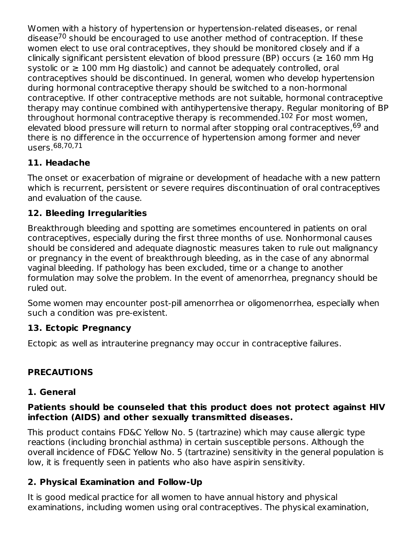Women with a history of hypertension or hypertension-related diseases, or renal disease<sup>70</sup> should be encouraged to use another method of contraception. If these women elect to use oral contraceptives, they should be monitored closely and if a clinically significant persistent elevation of blood pressure (BP) occurs ( $\geq 160$  mm Hg systolic or  $\geq 100$  mm Hg diastolic) and cannot be adequately controlled, oral contraceptives should be discontinued. In general, women who develop hypertension during hormonal contraceptive therapy should be switched to a non-hormonal contraceptive. If other contraceptive methods are not suitable, hormonal contraceptive therapy may continue combined with antihypertensive therapy. Regular monitoring of BP throughout hormonal contraceptive therapy is recommended. $^{102}$  For most women, elevated blood pressure will return to normal after stopping oral contraceptives, 69 and there is no difference in the occurrence of hypertension among former and never users. 68,70,71

# **11. Headache**

The onset or exacerbation of migraine or development of headache with a new pattern which is recurrent, persistent or severe requires discontinuation of oral contraceptives and evaluation of the cause.

# **12. Bleeding Irregularities**

Breakthrough bleeding and spotting are sometimes encountered in patients on oral contraceptives, especially during the first three months of use. Nonhormonal causes should be considered and adequate diagnostic measures taken to rule out malignancy or pregnancy in the event of breakthrough bleeding, as in the case of any abnormal vaginal bleeding. If pathology has been excluded, time or a change to another formulation may solve the problem. In the event of amenorrhea, pregnancy should be ruled out.

Some women may encounter post-pill amenorrhea or oligomenorrhea, especially when such a condition was pre-existent.

# **13. Ectopic Pregnancy**

Ectopic as well as intrauterine pregnancy may occur in contraceptive failures.

# **PRECAUTIONS**

### **1. General**

#### **Patients should be counseled that this product does not protect against HIV infection (AIDS) and other sexually transmitted diseases.**

This product contains FD&C Yellow No. 5 (tartrazine) which may cause allergic type reactions (including bronchial asthma) in certain susceptible persons. Although the overall incidence of FD&C Yellow No. 5 (tartrazine) sensitivity in the general population is low, it is frequently seen in patients who also have aspirin sensitivity.

# **2. Physical Examination and Follow-Up**

It is good medical practice for all women to have annual history and physical examinations, including women using oral contraceptives. The physical examination,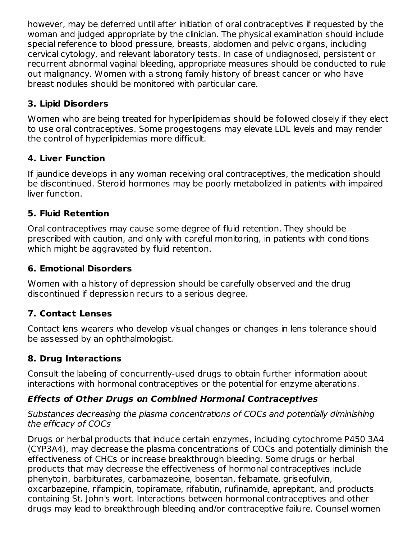however, may be deferred until after initiation of oral contraceptives if requested by the woman and judged appropriate by the clinician. The physical examination should include special reference to blood pressure, breasts, abdomen and pelvic organs, including cervical cytology, and relevant laboratory tests. In case of undiagnosed, persistent or recurrent abnormal vaginal bleeding, appropriate measures should be conducted to rule out malignancy. Women with a strong family history of breast cancer or who have breast nodules should be monitored with particular care.

## **3. Lipid Disorders**

Women who are being treated for hyperlipidemias should be followed closely if they elect to use oral contraceptives. Some progestogens may elevate LDL levels and may render the control of hyperlipidemias more difficult.

# **4. Liver Function**

If jaundice develops in any woman receiving oral contraceptives, the medication should be discontinued. Steroid hormones may be poorly metabolized in patients with impaired liver function.

## **5. Fluid Retention**

Oral contraceptives may cause some degree of fluid retention. They should be prescribed with caution, and only with careful monitoring, in patients with conditions which might be aggravated by fluid retention.

### **6. Emotional Disorders**

Women with a history of depression should be carefully observed and the drug discontinued if depression recurs to a serious degree.

# **7. Contact Lenses**

Contact lens wearers who develop visual changes or changes in lens tolerance should be assessed by an ophthalmologist.

# **8. Drug Interactions**

Consult the labeling of concurrently-used drugs to obtain further information about interactions with hormonal contraceptives or the potential for enzyme alterations.

# **Effects of Other Drugs on Combined Hormonal Contraceptives**

Substances decreasing the plasma concentrations of COCs and potentially diminishing the efficacy of COCs

Drugs or herbal products that induce certain enzymes, including cytochrome P450 3A4 (CYP3A4), may decrease the plasma concentrations of COCs and potentially diminish the effectiveness of CHCs or increase breakthrough bleeding. Some drugs or herbal products that may decrease the effectiveness of hormonal contraceptives include phenytoin, barbiturates, carbamazepine, bosentan, felbamate, griseofulvin, oxcarbazepine, rifampicin, topiramate, rifabutin, rufinamide, aprepitant, and products containing St. John's wort. Interactions between hormonal contraceptives and other drugs may lead to breakthrough bleeding and/or contraceptive failure. Counsel women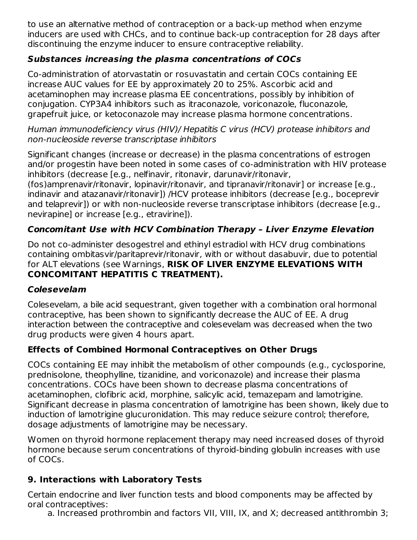to use an alternative method of contraception or a back-up method when enzyme inducers are used with CHCs, and to continue back-up contraception for 28 days after discontinuing the enzyme inducer to ensure contraceptive reliability.

# **Substances increasing the plasma concentrations of COCs**

Co-administration of atorvastatin or rosuvastatin and certain COCs containing EE increase AUC values for EE by approximately 20 to 25%. Ascorbic acid and acetaminophen may increase plasma EE concentrations, possibly by inhibition of conjugation. CYP3A4 inhibitors such as itraconazole, voriconazole, fluconazole, grapefruit juice, or ketoconazole may increase plasma hormone concentrations.

Human immunodeficiency virus (HIV)/ Hepatitis C virus (HCV) protease inhibitors and non-nucleoside reverse transcriptase inhibitors

Significant changes (increase or decrease) in the plasma concentrations of estrogen and/or progestin have been noted in some cases of co-administration with HIV protease inhibitors (decrease [e.g., nelfinavir, ritonavir, darunavir/ritonavir,

(fos)amprenavir/ritonavir, lopinavir/ritonavir, and tipranavir/ritonavir] or increase [e.g., indinavir and atazanavir/ritonavir]) /HCV protease inhibitors (decrease [e.g., boceprevir and telaprevir]) or with non-nucleoside reverse transcriptase inhibitors (decrease [e.g., nevirapine] or increase [e.g., etravirine]).

# **Concomitant Use with HCV Combination Therapy – Liver Enzyme Elevation**

Do not co-administer desogestrel and ethinyl estradiol with HCV drug combinations containing ombitasvir/paritaprevir/ritonavir, with or without dasabuvir, due to potential for ALT elevations (see Warnings, **RISK OF LIVER ENZYME ELEVATIONS WITH CONCOMITANT HEPATITIS C TREATMENT).**

# **Colesevelam**

Colesevelam, a bile acid sequestrant, given together with a combination oral hormonal contraceptive, has been shown to significantly decrease the AUC of EE. A drug interaction between the contraceptive and colesevelam was decreased when the two drug products were given 4 hours apart.

# **Effects of Combined Hormonal Contraceptives on Other Drugs**

COCs containing EE may inhibit the metabolism of other compounds (e.g., cyclosporine, prednisolone, theophylline, tizanidine, and voriconazole) and increase their plasma concentrations. COCs have been shown to decrease plasma concentrations of acetaminophen, clofibric acid, morphine, salicylic acid, temazepam and lamotrigine. Significant decrease in plasma concentration of lamotrigine has been shown, likely due to induction of lamotrigine glucuronidation. This may reduce seizure control; therefore, dosage adjustments of lamotrigine may be necessary.

Women on thyroid hormone replacement therapy may need increased doses of thyroid hormone because serum concentrations of thyroid-binding globulin increases with use of COCs.

# **9. Interactions with Laboratory Tests**

Certain endocrine and liver function tests and blood components may be affected by oral contraceptives:

a. Increased prothrombin and factors VII, VIII, IX, and X; decreased antithrombin 3;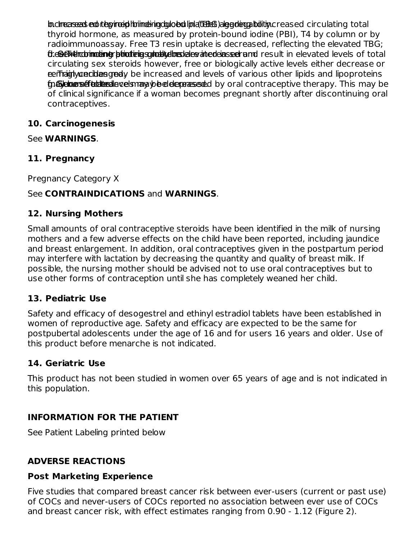ibn.cIrnecarseeadsendortehpyirnoeidphbriinndei-ningdgulcoebdulpinla(tTeBleGt)algegadreinggabtoilitiyn.creased circulating total thyroid hormone, as measured by protein-bound iodine (PBI), T4 by column or by radioimmunoassay. Free T3 resin uptake is decreased, reflecting the elevated TBG; ft.endetraphingeting that the insultation of total examples and result in elevated levels of total circulating sex steroids however, free or biologically active levels either decrease or ree. Traighwaner and property be increased and levels of various other lipids and lipoproteins man for the range of the text of the contractive therapy. This may be the fact the may be the fact the may be of clinical significance if a woman becomes pregnant shortly after discontinuing oral contraceptives.

#### **10. Carcinogenesis**

See **WARNINGS**.

### **11. Pregnancy**

Pregnancy Category X

### See **CONTRAINDICATIONS** and **WARNINGS**.

#### **12. Nursing Mothers**

Small amounts of oral contraceptive steroids have been identified in the milk of nursing mothers and a few adverse effects on the child have been reported, including jaundice and breast enlargement. In addition, oral contraceptives given in the postpartum period may interfere with lactation by decreasing the quantity and quality of breast milk. If possible, the nursing mother should be advised not to use oral contraceptives but to use other forms of contraception until she has completely weaned her child.

#### **13. Pediatric Use**

Safety and efficacy of desogestrel and ethinyl estradiol tablets have been established in women of reproductive age. Safety and efficacy are expected to be the same for postpubertal adolescents under the age of 16 and for users 16 years and older. Use of this product before menarche is not indicated.

#### **14. Geriatric Use**

This product has not been studied in women over 65 years of age and is not indicated in this population.

### **INFORMATION FOR THE PATIENT**

See Patient Labeling printed below

### **ADVERSE REACTIONS**

#### **Post Marketing Experience**

Five studies that compared breast cancer risk between ever-users (current or past use) of COCs and never-users of COCs reported no association between ever use of COCs and breast cancer risk, with effect estimates ranging from 0.90 - 1.12 (Figure 2).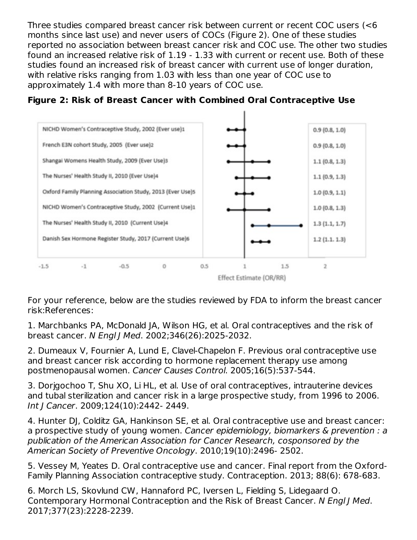Three studies compared breast cancer risk between current or recent COC users (<6 months since last use) and never users of COCs (Figure 2). One of these studies reported no association between breast cancer risk and COC use. The other two studies found an increased relative risk of 1.19 - 1.33 with current or recent use. Both of these studies found an increased risk of breast cancer with current use of longer duration, with relative risks ranging from 1.03 with less than one year of COC use to approximately 1.4 with more than 8-10 years of COC use.



#### **Figure 2: Risk of Breast Cancer with Combined Oral Contraceptive Use**

For your reference, below are the studies reviewed by FDA to inform the breast cancer risk:References:

1. Marchbanks PA, McDonald JA, Wilson HG, et al. Oral contraceptives and the risk of breast cancer. N Engl J Med. 2002;346(26):2025-2032.

2. Dumeaux V, Fournier A, Lund E, Clavel-Chapelon F. Previous oral contraceptive use and breast cancer risk according to hormone replacement therapy use among postmenopausal women. Cancer Causes Control. 2005;16(5):537-544.

3. Dorjgochoo T, Shu XO, Li HL, et al. Use of oral contraceptives, intrauterine devices and tubal sterilization and cancer risk in a large prospective study, from 1996 to 2006. Int J Cancer. 2009;124(10):2442- 2449.

4. Hunter DJ, Colditz GA, Hankinson SE, et al. Oral contraceptive use and breast cancer: a prospective study of young women. Cancer epidemiology, biomarkers & prevention : a publication of the American Association for Cancer Research, cosponsored by the American Society of Preventive Oncology. 2010;19(10):2496- 2502.

5. Vessey M, Yeates D. Oral contraceptive use and cancer. Final report from the Oxford-Family Planning Association contraceptive study. Contraception. 2013; 88(6): 678-683.

6. Morch LS, Skovlund CW, Hannaford PC, Iversen L, Fielding S, Lidegaard O. Contemporary Hormonal Contraception and the Risk of Breast Cancer. N Engl J Med. 2017;377(23):2228-2239.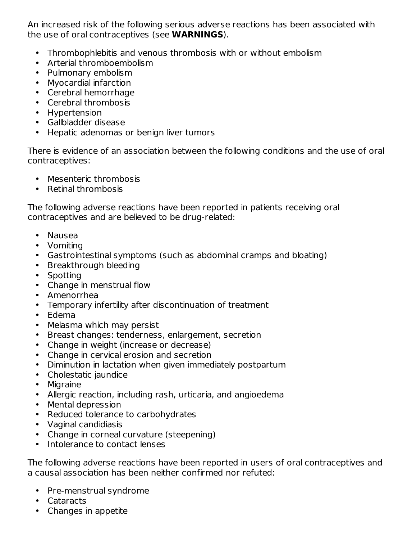An increased risk of the following serious adverse reactions has been associated with the use of oral contraceptives (see **WARNINGS**).

- Thrombophlebitis and venous thrombosis with or without embolism
- Arterial thromboembolism
- Pulmonary embolism
- Myocardial infarction
- Cerebral hemorrhage
- Cerebral thrombosis
- Hypertension
- Gallbladder disease
- Hepatic adenomas or benign liver tumors

There is evidence of an association between the following conditions and the use of oral contraceptives:

- Mesenteric thrombosis
- Retinal thrombosis

The following adverse reactions have been reported in patients receiving oral contraceptives and are believed to be drug-related:

- Nausea
- Vomiting
- Gastrointestinal symptoms (such as abdominal cramps and bloating)
- Breakthrough bleeding
- Spotting
- Change in menstrual flow
- Amenorrhea
- Temporary infertility after discontinuation of treatment
- Edema
- Melasma which may persist
- Breast changes: tenderness, enlargement, secretion
- Change in weight (increase or decrease)
- Change in cervical erosion and secretion
- Diminution in lactation when given immediately postpartum
- Cholestatic jaundice
- Migraine
- Allergic reaction, including rash, urticaria, and angioedema
- Mental depression
- Reduced tolerance to carbohydrates
- Vaginal candidiasis
- Change in corneal curvature (steepening)
- Intolerance to contact lenses

The following adverse reactions have been reported in users of oral contraceptives and a causal association has been neither confirmed nor refuted:

- Pre-menstrual syndrome
- Cataracts
- Changes in appetite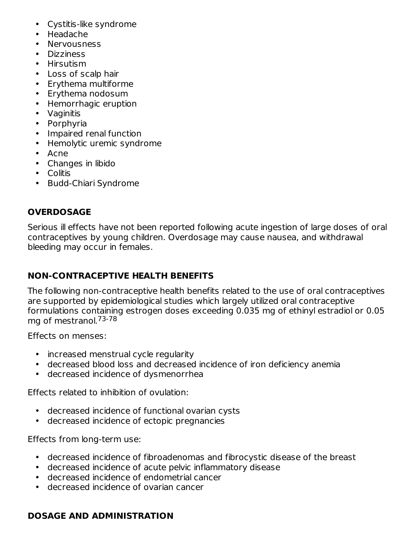- Cystitis-like syndrome
- Headache
- Nervousness
- Dizziness
- Hirsutism
- Loss of scalp hair
- Erythema multiforme
- Erythema nodosum
- Hemorrhagic eruption
- Vaginitis
- Porphyria
- Impaired renal function
- Hemolytic uremic syndrome
- Acne
- Changes in libido
- Colitis
- Budd-Chiari Syndrome

### **OVERDOSAGE**

Serious ill effects have not been reported following acute ingestion of large doses of oral contraceptives by young children. Overdosage may cause nausea, and withdrawal bleeding may occur in females.

### **NON-CONTRACEPTIVE HEALTH BENEFITS**

The following non-contraceptive health benefits related to the use of oral contraceptives are supported by epidemiological studies which largely utilized oral contraceptive formulations containing estrogen doses exceeding 0.035 mg of ethinyl estradiol or 0.05 mg of mestranol. 73-78

Effects on menses:

- increased menstrual cycle regularity
- decreased blood loss and decreased incidence of iron deficiency anemia
- decreased incidence of dysmenorrhea

Effects related to inhibition of ovulation:

- decreased incidence of functional ovarian cysts
- decreased incidence of ectopic pregnancies

Effects from long-term use:

- decreased incidence of fibroadenomas and fibrocystic disease of the breast
- decreased incidence of acute pelvic inflammatory disease
- decreased incidence of endometrial cancer
- decreased incidence of ovarian cancer

### **DOSAGE AND ADMINISTRATION**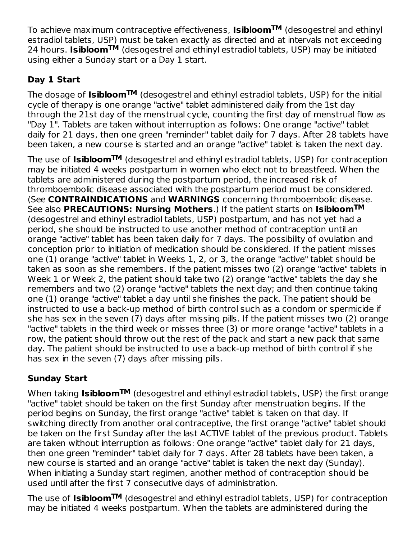To achieve maximum contraceptive effectiveness, **Isibloom<sup>TM</sup>** (desogestrel and ethinyl estradiol tablets, USP) must be taken exactly as directed and at intervals not exceeding 24 hours. **Isibloom<sup>TM</sup>** (desogestrel and ethinyl estradiol tablets, USP) may be initiated using either a Sunday start or a Day 1 start.

# **Day 1 Start**

The dosage of **Isibloom™** (desogestrel and ethinyl estradiol tablets, USP) for the initial cycle of therapy is one orange "active" tablet administered daily from the 1st day through the 21st day of the menstrual cycle, counting the first day of menstrual flow as "Day 1". Tablets are taken without interruption as follows: One orange "active" tablet daily for 21 days, then one green "reminder" tablet daily for 7 days. After 28 tablets have been taken, a new course is started and an orange "active" tablet is taken the next day.

The use of **Isibloom** (desogestrel and ethinyl estradiol tablets, USP) for contraception **TM** may be initiated 4 weeks postpartum in women who elect not to breastfeed. When the tablets are administered during the postpartum period, the increased risk of thromboembolic disease associated with the postpartum period must be considered. (See **CONTRAINDICATIONS** and **WARNINGS** concerning thromboembolic disease. See also **PRECAUTIONS: Nursing Mothers**.) If the patient starts on **Isibloom TM** (desogestrel and ethinyl estradiol tablets, USP) postpartum, and has not yet had a period, she should be instructed to use another method of contraception until an orange "active" tablet has been taken daily for 7 days. The possibility of ovulation and conception prior to initiation of medication should be considered. If the patient misses one (1) orange "active" tablet in Weeks 1, 2, or 3, the orange "active" tablet should be taken as soon as she remembers. If the patient misses two (2) orange "active" tablets in Week 1 or Week 2, the patient should take two (2) orange "active" tablets the day she remembers and two (2) orange "active" tablets the next day; and then continue taking one (1) orange "active" tablet a day until she finishes the pack. The patient should be instructed to use a back-up method of birth control such as a condom or spermicide if she has sex in the seven (7) days after missing pills. If the patient misses two (2) orange "active" tablets in the third week or misses three (3) or more orange "active" tablets in a row, the patient should throw out the rest of the pack and start a new pack that same day. The patient should be instructed to use a back-up method of birth control if she has sex in the seven (7) days after missing pills.

# **Sunday Start**

When taking **Isibloom™** (desogestrel and ethinyl estradiol tablets, USP) the first orange "active" tablet should be taken on the first Sunday after menstruation begins. If the period begins on Sunday, the first orange "active" tablet is taken on that day. If switching directly from another oral contraceptive, the first orange "active" tablet should be taken on the first Sunday after the last ACTIVE tablet of the previous product. Tablets are taken without interruption as follows: One orange "active" tablet daily for 21 days, then one green "reminder" tablet daily for 7 days. After 28 tablets have been taken, a new course is started and an orange "active" tablet is taken the next day (Sunday). When initiating a Sunday start regimen, another method of contraception should be used until after the first 7 consecutive days of administration.

The use of **Isibloom** (desogestrel and ethinyl estradiol tablets, USP) for contraception **TM**may be initiated 4 weeks postpartum. When the tablets are administered during the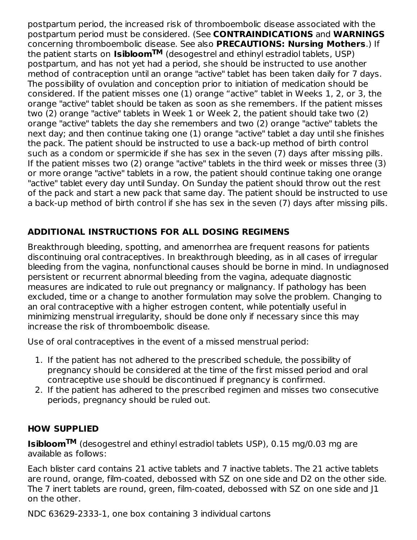postpartum period, the increased risk of thromboembolic disease associated with the postpartum period must be considered. (See **CONTRAINDICATIONS** and **WARNINGS** concerning thromboembolic disease. See also **PRECAUTIONS: Nursing Mothers**.) If the patient starts on **Isibloom™** (desogestrel and ethinyl estradiol tablets, USP) postpartum, and has not yet had a period, she should be instructed to use another method of contraception until an orange "active" tablet has been taken daily for 7 days. The possibility of ovulation and conception prior to initiation of medication should be considered. If the patient misses one (1) orange "active" tablet in Weeks 1, 2, or 3, the orange "active" tablet should be taken as soon as she remembers. If the patient misses two (2) orange "active" tablets in Week 1 or Week 2, the patient should take two (2) orange "active" tablets the day she remembers and two (2) orange "active" tablets the next day; and then continue taking one (1) orange "active" tablet a day until she finishes the pack. The patient should be instructed to use a back-up method of birth control such as a condom or spermicide if she has sex in the seven (7) days after missing pills. If the patient misses two (2) orange "active" tablets in the third week or misses three (3) or more orange "active" tablets in a row, the patient should continue taking one orange "active" tablet every day until Sunday. On Sunday the patient should throw out the rest of the pack and start a new pack that same day. The patient should be instructed to use a back-up method of birth control if she has sex in the seven (7) days after missing pills.

## **ADDITIONAL INSTRUCTIONS FOR ALL DOSING REGIMENS**

Breakthrough bleeding, spotting, and amenorrhea are frequent reasons for patients discontinuing oral contraceptives. In breakthrough bleeding, as in all cases of irregular bleeding from the vagina, nonfunctional causes should be borne in mind. In undiagnosed persistent or recurrent abnormal bleeding from the vagina, adequate diagnostic measures are indicated to rule out pregnancy or malignancy. If pathology has been excluded, time or a change to another formulation may solve the problem. Changing to an oral contraceptive with a higher estrogen content, while potentially useful in minimizing menstrual irregularity, should be done only if necessary since this may increase the risk of thromboembolic disease.

Use of oral contraceptives in the event of a missed menstrual period:

- 1. If the patient has not adhered to the prescribed schedule, the possibility of pregnancy should be considered at the time of the first missed period and oral contraceptive use should be discontinued if pregnancy is confirmed.
- 2. If the patient has adhered to the prescribed regimen and misses two consecutive periods, pregnancy should be ruled out.

### **HOW SUPPLIED**

**Isibloom™** (desogestrel and ethinyl estradiol tablets USP), 0.15 mg/0.03 mg are available as follows:

Each blister card contains 21 active tablets and 7 inactive tablets. The 21 active tablets are round, orange, film-coated, debossed with SZ on one side and D2 on the other side. The 7 inert tablets are round, green, film-coated, debossed with SZ on one side and J1 on the other.

NDC 63629-2333-1, one box containing 3 individual cartons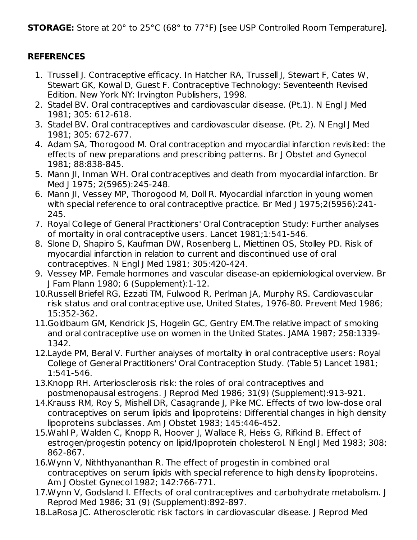**STORAGE:** Store at 20° to 25°C (68° to 77°F) [see USP Controlled Room Temperature].

### **REFERENCES**

- 1. Trussell J. Contraceptive efficacy. In Hatcher RA, Trussell J, Stewart F, Cates W, Stewart GK, Kowal D, Guest F. Contraceptive Technology: Seventeenth Revised Edition. New York NY: Irvington Publishers, 1998.
- 2. Stadel BV. Oral contraceptives and cardiovascular disease. (Pt.1). N Engl J Med 1981; 305: 612-618.
- 3. Stadel BV. Oral contraceptives and cardiovascular disease. (Pt. 2). N Engl J Med 1981; 305: 672-677.
- 4. Adam SA, Thorogood M. Oral contraception and myocardial infarction revisited: the effects of new preparations and prescribing patterns. Br J Obstet and Gynecol 1981; 88:838-845.
- 5. Mann JI, Inman WH. Oral contraceptives and death from myocardial infarction. Br Med | 1975; 2(5965):245-248.
- 6. Mann JI, Vessey MP, Thorogood M, Doll R. Myocardial infarction in young women with special reference to oral contraceptive practice. Br Med | 1975;2(5956):241-245.
- 7. Royal College of General Practitioners' Oral Contraception Study: Further analyses of mortality in oral contraceptive users. Lancet 1981;1:541-546.
- 8. Slone D, Shapiro S, Kaufman DW, Rosenberg L, Miettinen OS, Stolley PD. Risk of myocardial infarction in relation to current and discontinued use of oral contraceptives. N Engl J Med 1981; 305:420-424.
- 9. Vessey MP. Female hormones and vascular disease-an epidemiological overview. Br J Fam Plann 1980; 6 (Supplement):1-12.
- 10. Russell Briefel RG, Ezzati TM, Fulwood R, Perlman JA, Murphy RS. Cardiovascular risk status and oral contraceptive use, United States, 1976-80. Prevent Med 1986; 15:352-362.
- 11. Goldbaum GM, Kendrick JS, Hogelin GC, Gentry EM.The relative impact of smoking and oral contraceptive use on women in the United States. JAMA 1987; 258:1339- 1342.
- 12. Layde PM, Beral V. Further analyses of mortality in oral contraceptive users: Royal College of General Practitioners' Oral Contraception Study. (Table 5) Lancet 1981; 1:541-546.
- 13. Knopp RH. Arteriosclerosis risk: the roles of oral contraceptives and postmenopausal estrogens. J Reprod Med 1986; 31(9) (Supplement):913-921.
- 14. Krauss RM, Roy S, Mishell DR, Casagrande J, Pike MC. Effects of two low-dose oral contraceptives on serum lipids and lipoproteins: Differential changes in high density lipoproteins subclasses. Am J Obstet 1983; 145:446-452.
- 15. Wahl P, Walden C, Knopp R, Hoover J, Wallace R, Heiss G, Rifkind B. Effect of estrogen/progestin potency on lipid/lipoprotein cholesterol. N Engl J Med 1983; 308: 862-867.
- 16. Wynn V, Niththyananthan R. The effect of progestin in combined oral contraceptives on serum lipids with special reference to high density lipoproteins. Am J Obstet Gynecol 1982; 142:766-771.
- 17. Wynn V, Godsland I. Effects of oral contraceptives and carbohydrate metabolism. J Reprod Med 1986; 31 (9) (Supplement):892-897.
- 18. LaRosa JC. Atherosclerotic risk factors in cardiovascular disease. J Reprod Med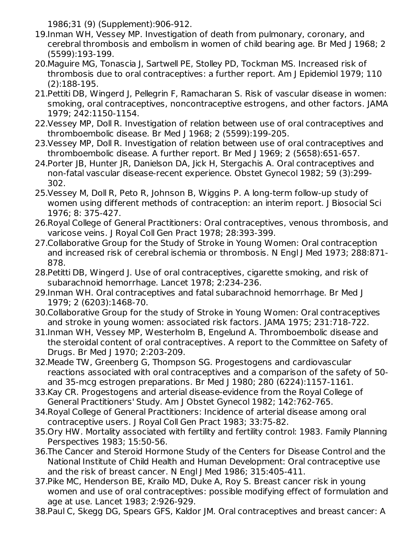1986;31 (9) (Supplement):906-912.

- 19. Inman WH, Vessey MP. Investigation of death from pulmonary, coronary, and cerebral thrombosis and embolism in women of child bearing age. Br Med J 1968; 2 (5599):193-199.
- 20. Maguire MG, Tonascia J, Sartwell PE, Stolley PD, Tockman MS. Increased risk of thrombosis due to oral contraceptives: a further report. Am J Epidemiol 1979; 110 (2):188-195.
- 21. Pettiti DB, Wingerd J, Pellegrin F, Ramacharan S. Risk of vascular disease in women: smoking, oral contraceptives, noncontraceptive estrogens, and other factors. JAMA 1979; 242:1150-1154.
- 22. Vessey MP, Doll R. Investigation of relation between use of oral contraceptives and thromboembolic disease. Br Med J 1968; 2 (5599):199-205.
- 23. Vessey MP, Doll R. Investigation of relation between use of oral contraceptives and thromboembolic disease. A further report. Br Med J 1969; 2 (5658):651-657.
- 24. Porter JB, Hunter JR, Danielson DA, Jick H, Stergachis A. Oral contraceptives and non-fatal vascular disease-recent experience. Obstet Gynecol 1982; 59 (3):299- 302.
- 25. Vessey M, Doll R, Peto R, Johnson B, Wiggins P. A long-term follow-up study of women using different methods of contraception: an interim report. J Biosocial Sci 1976; 8: 375-427.
- 26. Royal College of General Practitioners: Oral contraceptives, venous thrombosis, and varicose veins. J Royal Coll Gen Pract 1978; 28:393-399.
- 27. Collaborative Group for the Study of Stroke in Young Women: Oral contraception and increased risk of cerebral ischemia or thrombosis. N Engl J Med 1973; 288:871- 878.
- 28. Petitti DB, Wingerd J. Use of oral contraceptives, cigarette smoking, and risk of subarachnoid hemorrhage. Lancet 1978; 2:234-236.
- 29. Inman WH. Oral contraceptives and fatal subarachnoid hemorrhage. Br Med J 1979; 2 (6203):1468-70.
- 30. Collaborative Group for the study of Stroke in Young Women: Oral contraceptives and stroke in young women: associated risk factors. JAMA 1975; 231:718-722.
- 31. Inman WH, Vessey MP, Westerholm B, Engelund A. Thromboembolic disease and the steroidal content of oral contraceptives. A report to the Committee on Safety of Drugs. Br Med J 1970; 2:203-209.
- 32. Meade TW, Greenberg G, Thompson SG. Progestogens and cardiovascular reactions associated with oral contraceptives and a comparison of the safety of 50 and 35-mcg estrogen preparations. Br Med J 1980; 280 (6224):1157-1161.
- 33. Kay CR. Progestogens and arterial disease-evidence from the Royal College of General Practitioners' Study. Am J Obstet Gynecol 1982; 142:762-765.
- 34. Royal College of General Practitioners: Incidence of arterial disease among oral contraceptive users. J Royal Coll Gen Pract 1983; 33:75-82.
- 35. Ory HW. Mortality associated with fertility and fertility control: 1983. Family Planning Perspectives 1983; 15:50-56.
- 36. The Cancer and Steroid Hormone Study of the Centers for Disease Control and the National Institute of Child Health and Human Development: Oral contraceptive use and the risk of breast cancer. N Engl J Med 1986; 315:405-411.
- 37. Pike MC, Henderson BE, Krailo MD, Duke A, Roy S. Breast cancer risk in young women and use of oral contraceptives: possible modifying effect of formulation and age at use. Lancet 1983; 2:926-929.
- 38. Paul C, Skegg DG, Spears GFS, Kaldor JM. Oral contraceptives and breast cancer: A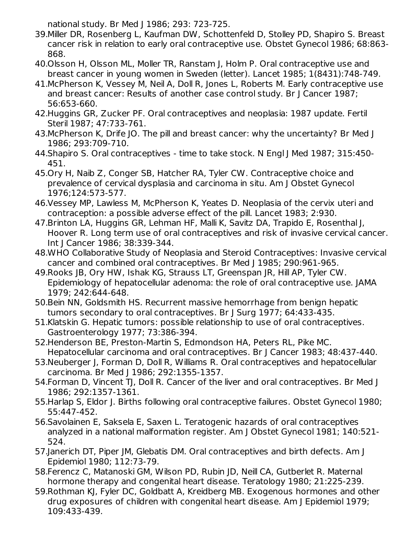national study. Br Med J 1986; 293: 723-725.

- 39. Miller DR, Rosenberg L, Kaufman DW, Schottenfeld D, Stolley PD, Shapiro S. Breast cancer risk in relation to early oral contraceptive use. Obstet Gynecol 1986; 68:863- 868.
- 40. Olsson H, Olsson ML, Moller TR, Ranstam J, Holm P. Oral contraceptive use and breast cancer in young women in Sweden (letter). Lancet 1985; 1(8431):748-749.
- 41. McPherson K, Vessey M, Neil A, Doll R, Jones L, Roberts M. Early contraceptive use and breast cancer: Results of another case control study. Br J Cancer 1987; 56:653-660.
- 42. Huggins GR, Zucker PF. Oral contraceptives and neoplasia: 1987 update. Fertil Steril 1987; 47:733-761.
- 43. McPherson K, Drife JO. The pill and breast cancer: why the uncertainty? Br Med J 1986; 293:709-710.
- 44. Shapiro S. Oral contraceptives time to take stock. N Engl J Med 1987; 315:450- 451.
- 45. Ory H, Naib Z, Conger SB, Hatcher RA, Tyler CW. Contraceptive choice and prevalence of cervical dysplasia and carcinoma in situ. Am J Obstet Gynecol 1976;124:573-577.
- 46. Vessey MP, Lawless M, McPherson K, Yeates D. Neoplasia of the cervix uteri and contraception: a possible adverse effect of the pill. Lancet 1983; 2:930.
- 47. Brinton LA, Huggins GR, Lehman HF, Malli K, Savitz DA, Trapido E, Rosenthal J, Hoover R. Long term use of oral contraceptives and risk of invasive cervical cancer. Int J Cancer 1986; 38:339-344.
- 48. WHO Collaborative Study of Neoplasia and Steroid Contraceptives: Invasive cervical cancer and combined oral contraceptives. Br Med | 1985; 290:961-965.
- 49. Rooks JB, Ory HW, Ishak KG, Strauss LT, Greenspan JR, Hill AP, Tyler CW. Epidemiology of hepatocellular adenoma: the role of oral contraceptive use. JAMA 1979; 242:644-648.
- 50. Bein NN, Goldsmith HS. Recurrent massive hemorrhage from benign hepatic tumors secondary to oral contraceptives. Br J Surg 1977; 64:433-435.
- 51. Klatskin G. Hepatic tumors: possible relationship to use of oral contraceptives. Gastroenterology 1977; 73:386-394.
- 52. Henderson BE, Preston-Martin S, Edmondson HA, Peters RL, Pike MC. Hepatocellular carcinoma and oral contraceptives. Br J Cancer 1983; 48:437-440.
- 53. Neuberger J, Forman D, Doll R, Williams R. Oral contraceptives and hepatocellular carcinoma. Br Med J 1986; 292:1355-1357.
- 54. Forman D, Vincent TJ, Doll R. Cancer of the liver and oral contraceptives. Br Med J 1986; 292:1357-1361.
- 55. Harlap S, Eldor J. Births following oral contraceptive failures. Obstet Gynecol 1980; 55:447-452.
- 56. Savolainen E, Saksela E, Saxen L. Teratogenic hazards of oral contraceptives analyzed in a national malformation register. Am J Obstet Gynecol 1981; 140:521- 524.
- 57. Janerich DT, Piper JM, Glebatis DM. Oral contraceptives and birth defects. Am J Epidemiol 1980; 112:73-79.
- 58. Ferencz C, Matanoski GM, Wilson PD, Rubin JD, Neill CA, Gutberlet R. Maternal hormone therapy and congenital heart disease. Teratology 1980; 21:225-239.
- 59. Rothman KJ, Fyler DC, Goldbatt A, Kreidberg MB. Exogenous hormones and other drug exposures of children with congenital heart disease. Am J Epidemiol 1979; 109:433-439.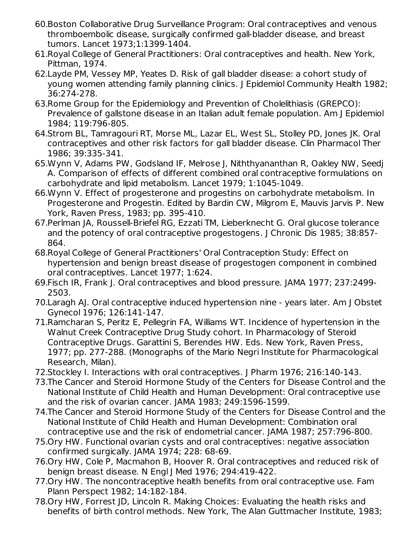- 60. Boston Collaborative Drug Surveillance Program: Oral contraceptives and venous thromboembolic disease, surgically confirmed gall-bladder disease, and breast tumors. Lancet 1973;1:1399-1404.
- 61. Royal College of General Practitioners: Oral contraceptives and health. New York, Pittman, 1974.
- 62. Layde PM, Vessey MP, Yeates D. Risk of gall bladder disease: a cohort study of young women attending family planning clinics. J Epidemiol Community Health 1982; 36:274-278.
- 63. Rome Group for the Epidemiology and Prevention of Cholelithiasis (GREPCO): Prevalence of gallstone disease in an Italian adult female population. Am J Epidemiol 1984; 119:796-805.
- 64. Strom BL, Tamragouri RT, Morse ML, Lazar EL, West SL, Stolley PD, Jones JK. Oral contraceptives and other risk factors for gall bladder disease. Clin Pharmacol Ther 1986; 39:335-341.
- 65. Wynn V, Adams PW, Godsland IF, Melrose J, Niththyananthan R, Oakley NW, Seedj A. Comparison of effects of different combined oral contraceptive formulations on carbohydrate and lipid metabolism. Lancet 1979; 1:1045-1049.
- 66. Wynn V. Effect of progesterone and progestins on carbohydrate metabolism. In Progesterone and Progestin. Edited by Bardin CW, Milgrom E, Mauvis Jarvis P. New York, Raven Press, 1983; pp. 395-410.
- 67. Perlman JA, Roussell-Briefel RG, Ezzati TM, Lieberknecht G. Oral glucose tolerance and the potency of oral contraceptive progestogens. J Chronic Dis 1985; 38:857- 864.
- 68. Royal College of General Practitioners' Oral Contraception Study: Effect on hypertension and benign breast disease of progestogen component in combined oral contraceptives. Lancet 1977; 1:624.
- 69. Fisch IR, Frank J. Oral contraceptives and blood pressure. JAMA 1977; 237:2499- 2503.
- 70. Laragh AJ. Oral contraceptive induced hypertension nine years later. Am J Obstet Gynecol 1976; 126:141-147.
- 71. Ramcharan S, Peritz E, Pellegrin FA, Williams WT. Incidence of hypertension in the Walnut Creek Contraceptive Drug Study cohort. In Pharmacology of Steroid Contraceptive Drugs. Garattini S, Berendes HW. Eds. New York, Raven Press, 1977; pp. 277-288. (Monographs of the Mario Negri Institute for Pharmacological Research, Milan).
- 72. Stockley I. Interactions with oral contraceptives. J Pharm 1976; 216:140-143.
- 73. The Cancer and Steroid Hormone Study of the Centers for Disease Control and the National Institute of Child Health and Human Development: Oral contraceptive use and the risk of ovarian cancer. JAMA 1983; 249:1596-1599.
- 74. The Cancer and Steroid Hormone Study of the Centers for Disease Control and the National Institute of Child Health and Human Development: Combination oral contraceptive use and the risk of endometrial cancer. JAMA 1987; 257:796-800.
- 75. Ory HW. Functional ovarian cysts and oral contraceptives: negative association confirmed surgically. JAMA 1974; 228: 68-69.
- 76. Ory HW, Cole P, Macmahon B, Hoover R. Oral contraceptives and reduced risk of benign breast disease. N Engl J Med 1976; 294:419-422.
- 77. Ory HW. The noncontraceptive health benefits from oral contraceptive use. Fam Plann Perspect 1982; 14:182-184.
- 78. Ory HW, Forrest JD, Lincoln R. Making Choices: Evaluating the health risks and benefits of birth control methods. New York, The Alan Guttmacher Institute, 1983;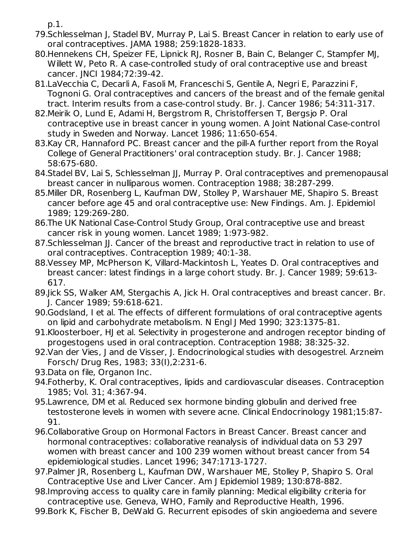p.1.

- 79. Schlesselman J, Stadel BV, Murray P, Lai S. Breast Cancer in relation to early use of oral contraceptives. JAMA 1988; 259:1828-1833.
- 80. Hennekens CH, Speizer FE, Lipnick RJ, Rosner B, Bain C, Belanger C, Stampfer MJ, Willett W, Peto R. A case-controlled study of oral contraceptive use and breast cancer. JNCI 1984;72:39-42.
- 81. LaVecchia C, Decarli A, Fasoli M, Franceschi S, Gentile A, Negri E, Parazzini F, Tognoni G. Oral contraceptives and cancers of the breast and of the female genital tract. Interim results from a case-control study. Br. J. Cancer 1986; 54:311-317.
- 82. Meirik O, Lund E, Adami H, Bergstrom R, Christoffersen T, Bergsjo P. Oral contraceptive use in breast cancer in young women. A Joint National Case-control study in Sweden and Norway. Lancet 1986; 11:650-654.
- 83. Kay CR, Hannaford PC. Breast cancer and the pill-A further report from the Royal College of General Practitioners' oral contraception study. Br. J. Cancer 1988; 58:675-680.
- 84. Stadel BV, Lai S, Schlesselman JJ, Murray P. Oral contraceptives and premenopausal breast cancer in nulliparous women. Contraception 1988; 38:287-299.
- 85. Miller DR, Rosenberg L, Kaufman DW, Stolley P, Warshauer ME, Shapiro S. Breast cancer before age 45 and oral contraceptive use: New Findings. Am. J. Epidemiol 1989; 129:269-280.
- 86. The UK National Case-Control Study Group, Oral contraceptive use and breast cancer risk in young women. Lancet 1989; 1:973-982.
- 87. Schlesselman JJ. Cancer of the breast and reproductive tract in relation to use of oral contraceptives. Contraception 1989; 40:1-38.
- 88. Vessey MP, McPherson K, Villard-Mackintosh L, Yeates D. Oral contraceptives and breast cancer: latest findings in a large cohort study. Br. J. Cancer 1989; 59:613- 617.
- 89. Jick SS, Walker AM, Stergachis A, Jick H. Oral contraceptives and breast cancer. Br. J. Cancer 1989; 59:618-621.
- 90. Godsland, I et al. The effects of different formulations of oral contraceptive agents on lipid and carbohydrate metabolism. N Engl J Med 1990; 323:1375-81.
- 91. Kloosterboer, HJ et al. Selectivity in progesterone and androgen receptor binding of progestogens used in oral contraception. Contraception 1988; 38:325-32.
- 92. Van der Vies, J and de Visser, J. Endocrinological studies with desogestrel. Arzneim Forsch/ Drug Res, 1983; 33(I),2:231-6.
- 93. Data on file, Organon Inc.
- 94. Fotherby, K. Oral contraceptives, lipids and cardiovascular diseases. Contraception 1985; Vol. 31; 4:367-94.
- 95. Lawrence, DM et al. Reduced sex hormone binding globulin and derived free testosterone levels in women with severe acne. Clinical Endocrinology 1981;15:87- 91.
- 96. Collaborative Group on Hormonal Factors in Breast Cancer. Breast cancer and hormonal contraceptives: collaborative reanalysis of individual data on 53 297 women with breast cancer and 100 239 women without breast cancer from 54 epidemiological studies. Lancet 1996; 347:1713-1727.
- 97. Palmer JR, Rosenberg L, Kaufman DW, Warshauer ME, Stolley P, Shapiro S. Oral Contraceptive Use and Liver Cancer. Am J Epidemiol 1989; 130:878-882.
- 98. Improving access to quality care in family planning: Medical eligibility criteria for contraceptive use. Geneva, WHO, Family and Reproductive Health, 1996.
- 99. Bork K, Fischer B, DeWald G. Recurrent episodes of skin angioedema and severe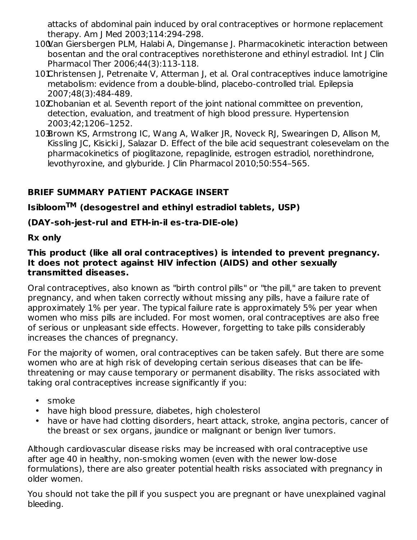attacks of abdominal pain induced by oral contraceptives or hormone replacement therapy. Am J Med 2003;114:294-298.

- 100 an Giersbergen PLM, Halabi A, Dingemanse J. Pharmacokinetic interaction between bosentan and the oral contraceptives norethisterone and ethinyl estradiol. Int J Clin Pharmacol Ther 2006;44(3):113-118.
- 10 Christensen J, Petrenaite V, Atterman J, et al. Oral contraceptives induce lamotrigine metabolism: evidence from a double-blind, placebo-controlled trial. Epilepsia 2007;48(3):484-489.
- 10 Chobanian et al. Seventh report of the joint national committee on prevention, detection, evaluation, and treatment of high blood pressure. Hypertension 2003;42;1206–1252.
- 10 Brown KS, Armstrong IC, Wang A, Walker JR, Noveck RJ, Swearingen D, Allison M, Kissling JC, Kisicki J, Salazar D. Effect of the bile acid sequestrant colesevelam on the pharmacokinetics of pioglitazone, repaglinide, estrogen estradiol, norethindrone, levothyroxine, and glyburide. J Clin Pharmacol 2010;50:554–565.

# **BRIEF SUMMARY PATIENT PACKAGE INSERT**

## **Isibloom (desogestrel and ethinyl estradiol tablets, USP) TM**

## **(DAY-soh-jest-rul and ETH-in-il es-tra-DIE-ole)**

### **Rx only**

#### **This product (like all oral contraceptives) is intended to prevent pregnancy. It does not protect against HIV infection (AIDS) and other sexually transmitted diseases.**

Oral contraceptives, also known as "birth control pills" or "the pill," are taken to prevent pregnancy, and when taken correctly without missing any pills, have a failure rate of approximately 1% per year. The typical failure rate is approximately 5% per year when women who miss pills are included. For most women, oral contraceptives are also free of serious or unpleasant side effects. However, forgetting to take pills considerably increases the chances of pregnancy.

For the majority of women, oral contraceptives can be taken safely. But there are some women who are at high risk of developing certain serious diseases that can be lifethreatening or may cause temporary or permanent disability. The risks associated with taking oral contraceptives increase significantly if you:

- smoke
- have high blood pressure, diabetes, high cholesterol
- have or have had clotting disorders, heart attack, stroke, angina pectoris, cancer of the breast or sex organs, jaundice or malignant or benign liver tumors.

Although cardiovascular disease risks may be increased with oral contraceptive use after age 40 in healthy, non-smoking women (even with the newer low-dose formulations), there are also greater potential health risks associated with pregnancy in older women.

You should not take the pill if you suspect you are pregnant or have unexplained vaginal bleeding.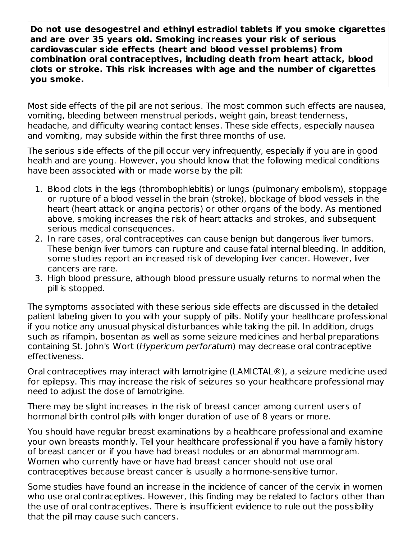**Do not use desogestrel and ethinyl estradiol tablets if you smoke cigarettes and are over 35 years old. Smoking increases your risk of serious cardiovascular side effects (heart and blood vessel problems) from combination oral contraceptives, including death from heart attack, blood clots or stroke. This risk increases with age and the number of cigarettes you smoke.**

Most side effects of the pill are not serious. The most common such effects are nausea, vomiting, bleeding between menstrual periods, weight gain, breast tenderness, headache, and difficulty wearing contact lenses. These side effects, especially nausea and vomiting, may subside within the first three months of use.

The serious side effects of the pill occur very infrequently, especially if you are in good health and are young. However, you should know that the following medical conditions have been associated with or made worse by the pill:

- 1. Blood clots in the legs (thrombophlebitis) or lungs (pulmonary embolism), stoppage or rupture of a blood vessel in the brain (stroke), blockage of blood vessels in the heart (heart attack or angina pectoris) or other organs of the body. As mentioned above, smoking increases the risk of heart attacks and strokes, and subsequent serious medical consequences.
- 2. In rare cases, oral contraceptives can cause benign but dangerous liver tumors. These benign liver tumors can rupture and cause fatal internal bleeding. In addition, some studies report an increased risk of developing liver cancer. However, liver cancers are rare.
- 3. High blood pressure, although blood pressure usually returns to normal when the pill is stopped.

The symptoms associated with these serious side effects are discussed in the detailed patient labeling given to you with your supply of pills. Notify your healthcare professional if you notice any unusual physical disturbances while taking the pill. In addition, drugs such as rifampin, bosentan as well as some seizure medicines and herbal preparations containing St. John's Wort (Hypericum perforatum) may decrease oral contraceptive effectiveness.

Oral contraceptives may interact with lamotrigine (LAMICTAL®), a seizure medicine used for epilepsy. This may increase the risk of seizures so your healthcare professional may need to adjust the dose of lamotrigine.

There may be slight increases in the risk of breast cancer among current users of hormonal birth control pills with longer duration of use of 8 years or more.

You should have regular breast examinations by a healthcare professional and examine your own breasts monthly. Tell your healthcare professional if you have a family history of breast cancer or if you have had breast nodules or an abnormal mammogram. Women who currently have or have had breast cancer should not use oral contraceptives because breast cancer is usually a hormone-sensitive tumor.

Some studies have found an increase in the incidence of cancer of the cervix in women who use oral contraceptives. However, this finding may be related to factors other than the use of oral contraceptives. There is insufficient evidence to rule out the possibility that the pill may cause such cancers.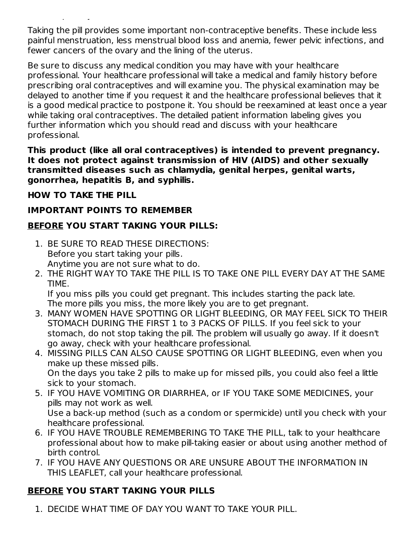Taking the pill provides some important non-contraceptive benefits. These include less painful menstruation, less menstrual blood loss and anemia, fewer pelvic infections, and fewer cancers of the ovary and the lining of the uterus.

Be sure to discuss any medical condition you may have with your healthcare professional. Your healthcare professional will take a medical and family history before prescribing oral contraceptives and will examine you. The physical examination may be delayed to another time if you request it and the healthcare professional believes that it is a good medical practice to postpone it. You should be reexamined at least once a year while taking oral contraceptives. The detailed patient information labeling gives you further information which you should read and discuss with your healthcare professional.

**This product (like all oral contraceptives) is intended to prevent pregnancy. It does not protect against transmission of HIV (AIDS) and other sexually transmitted diseases such as chlamydia, genital herpes, genital warts, gonorrhea, hepatitis B, and syphilis.**

### **HOW TO TAKE THE PILL**

### **IMPORTANT POINTS TO REMEMBER**

that the pill may cause such cancers.

## **BEFORE YOU START TAKING YOUR PILLS:**

- 1. BE SURE TO READ THESE DIRECTIONS: Before you start taking your pills. Anytime you are not sure what to do.
- 2. THE RIGHT WAY TO TAKE THE PILL IS TO TAKE ONE PILL EVERY DAY AT THE SAME TIME.

If you miss pills you could get pregnant. This includes starting the pack late. The more pills you miss, the more likely you are to get pregnant.

- 3. MANY WOMEN HAVE SPOTTING OR LIGHT BLEEDING, OR MAY FEEL SICK TO THEIR STOMACH DURING THE FIRST 1 to 3 PACKS OF PILLS. If you feel sick to your stomach, do not stop taking the pill. The problem will usually go away. If it doesn't go away, check with your healthcare professional.
- 4. MISSING PILLS CAN ALSO CAUSE SPOTTING OR LIGHT BLEEDING, even when you make up these missed pills. On the days you take 2 pills to make up for missed pills, you could also feel a little sick to your stomach.
- 5. IF YOU HAVE VOMITING OR DIARRHEA, or IF YOU TAKE SOME MEDICINES, your pills may not work as well. Use a back-up method (such as a condom or spermicide) until you check with your healthcare professional.
- 6. IF YOU HAVE TROUBLE REMEMBERING TO TAKE THE PILL, talk to your healthcare professional about how to make pill-taking easier or about using another method of birth control.
- 7. IF YOU HAVE ANY QUESTIONS OR ARE UNSURE ABOUT THE INFORMATION IN THIS LEAFLET, call your healthcare professional.

# **BEFORE YOU START TAKING YOUR PILLS**

1. DECIDE WHAT TIME OF DAY YOU WANT TO TAKE YOUR PILL.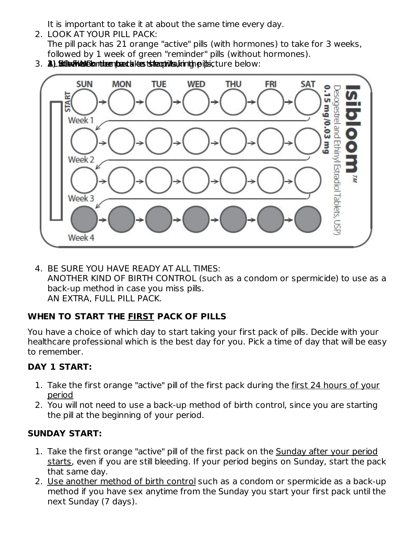It is important to take it at about the same time every day.

- 2. LOOK AT YOUR PILL PACK: The pill pack has 21 orange "active" pills (with hormones) to take for 3 weeks, followed by 1 week of green "reminder" pills (without hormones).
- 3. **AL Suite-Erweil-Blantuaen paet is kests tstea prilles, krintghe**pilplaic, ture below:



4. BE SURE YOU HAVE READY AT ALL TIMES: ANOTHER KIND OF BIRTH CONTROL (such as a condom or spermicide) to use as a back-up method in case you miss pills. AN EXTRA, FULL PILL PACK.

# **WHEN TO START THE FIRST PACK OF PILLS**

You have a choice of which day to start taking your first pack of pills. Decide with your healthcare professional which is the best day for you. Pick a time of day that will be easy to remember.

# **DAY 1 START:**

- 1. Take the first orange "active" pill of the first pack during the first 24 hours of your period
- 2. You will not need to use a back-up method of birth control, since you are starting the pill at the beginning of your period.

# **SUNDAY START:**

- 1. Take the first orange "active" pill of the first pack on the **Sunday after your period** starts, even if you are still bleeding. If your period begins on Sunday, start the pack that same day.
- 2. Use another method of birth control such as a condom or spermicide as a back-up method if you have sex anytime from the Sunday you start your first pack until the next Sunday (7 days).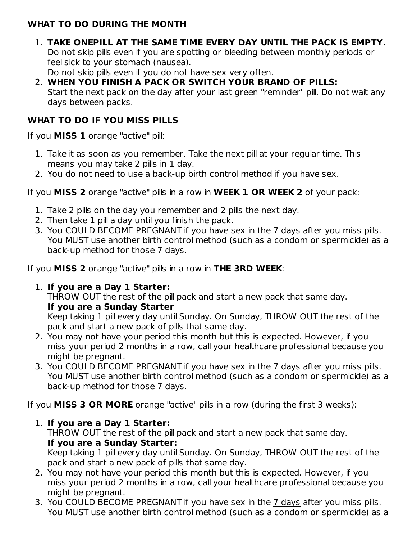### **WHAT TO DO DURING THE MONTH**

1. **TAKE ONEPILL AT THE SAME TIME EVERY DAY UNTIL THE PACK IS EMPTY.** Do not skip pills even if you are spotting or bleeding between monthly periods or feel sick to your stomach (nausea). Do not skip pills even if you do not have sex very often.

2. **WHEN YOU FINISH A PACK OR SWITCH YOUR BRAND OF PILLS:** Start the next pack on the day after your last green "reminder" pill. Do not wait any days between packs.

### **WHAT TO DO IF YOU MISS PILLS**

If you **MISS 1** orange "active" pill:

- 1. Take it as soon as you remember. Take the next pill at your regular time. This means you may take 2 pills in 1 day.
- 2. You do not need to use a back-up birth control method if you have sex.

### If you **MISS 2** orange "active" pills in a row in **WEEK 1 OR WEEK 2** of your pack:

- 1. Take 2 pills on the day you remember and 2 pills the next day.
- 2. Then take 1 pill a day until you finish the pack.
- 3. You COULD BECOME PREGNANT if you have sex in the 7 days after you miss pills. You MUST use another birth control method (such as a condom or spermicide) as a back-up method for those 7 days.

If you **MISS 2** orange "active" pills in a row in **THE 3RD WEEK**:

1. **If you are a Day 1 Starter:**

THROW OUT the rest of the pill pack and start a new pack that same day.

### **If you are a Sunday Starter**

Keep taking 1 pill every day until Sunday. On Sunday, THROW OUT the rest of the pack and start a new pack of pills that same day.

- 2. You may not have your period this month but this is expected. However, if you miss your period 2 months in a row, call your healthcare professional because you might be pregnant.
- 3. You COULD BECOME PREGNANT if you have sex in the 7 days after you miss pills. You MUST use another birth control method (such as a condom or spermicide) as a back-up method for those 7 days.

If you **MISS 3 OR MORE** orange "active" pills in a row (during the first 3 weeks):

1. **If you are a Day 1 Starter:**

THROW OUT the rest of the pill pack and start a new pack that same day. **If you are a Sunday Starter:**

Keep taking 1 pill every day until Sunday. On Sunday, THROW OUT the rest of the pack and start a new pack of pills that same day.

- 2. You may not have your period this month but this is expected. However, if you miss your period 2 months in a row, call your healthcare professional because you might be pregnant.
- 3. You COULD BECOME PREGNANT if you have sex in the 7 days after you miss pills. You MUST use another birth control method (such as a condom or spermicide) as a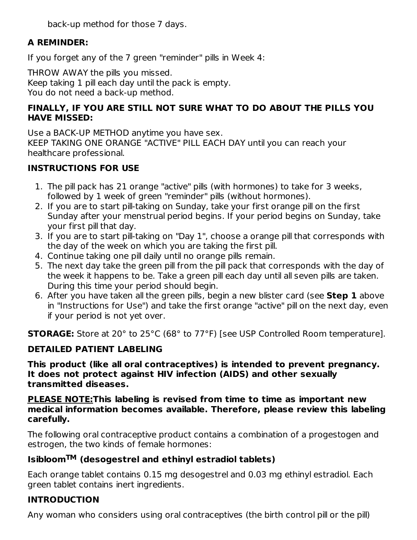back-up method for those 7 days.

# **A REMINDER:**

If you forget any of the 7 green "reminder" pills in Week 4:

THROW AWAY the pills you missed. Keep taking 1 pill each day until the pack is empty. You do not need a back-up method.

#### **FINALLY, IF YOU ARE STILL NOT SURE WHAT TO DO ABOUT THE PILLS YOU HAVE MISSED:**

Use a BACK-UP METHOD anytime you have sex. KEEP TAKING ONE ORANGE "ACTIVE" PILL EACH DAY until you can reach your healthcare professional.

### **INSTRUCTIONS FOR USE**

- 1. The pill pack has 21 orange "active" pills (with hormones) to take for 3 weeks, followed by 1 week of green "reminder" pills (without hormones).
- 2. If you are to start pill-taking on Sunday, take your first orange pill on the first Sunday after your menstrual period begins. If your period begins on Sunday, take your first pill that day.
- 3. If you are to start pill-taking on "Day 1", choose a orange pill that corresponds with the day of the week on which you are taking the first pill.
- 4. Continue taking one pill daily until no orange pills remain.
- 5. The next day take the green pill from the pill pack that corresponds with the day of the week it happens to be. Take a green pill each day until all seven pills are taken. During this time your period should begin.
- 6. After you have taken all the green pills, begin a new blister card (see **Step 1** above in "Instructions for Use") and take the first orange "active" pill on the next day, even if your period is not yet over.

**STORAGE:** Store at 20° to 25°C (68° to 77°F) [see USP Controlled Room temperature].

### **DETAILED PATIENT LABELING**

**This product (like all oral contraceptives) is intended to prevent pregnancy. It does not protect against HIV infection (AIDS) and other sexually transmitted diseases.**

#### **PLEASE NOTE:This labeling is revised from time to time as important new medical information becomes available. Therefore, please review this labeling carefully.**

The following oral contraceptive product contains a combination of a progestogen and estrogen, the two kinds of female hormones:

### **Isibloom (desogestrel and ethinyl estradiol tablets) TM**

Each orange tablet contains 0.15 mg desogestrel and 0.03 mg ethinyl estradiol. Each green tablet contains inert ingredients.

# **INTRODUCTION**

Any woman who considers using oral contraceptives (the birth control pill or the pill)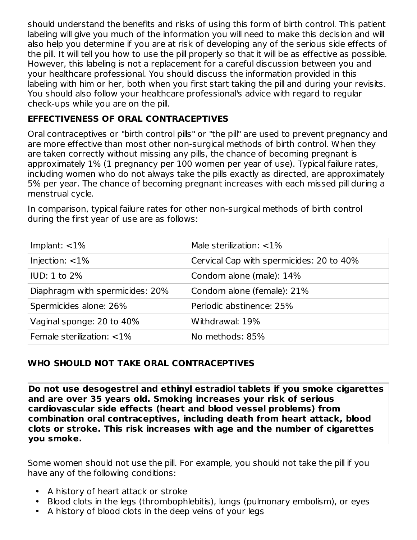should understand the benefits and risks of using this form of birth control. This patient labeling will give you much of the information you will need to make this decision and will also help you determine if you are at risk of developing any of the serious side effects of the pill. It will tell you how to use the pill properly so that it will be as effective as possible. However, this labeling is not a replacement for a careful discussion between you and your healthcare professional. You should discuss the information provided in this labeling with him or her, both when you first start taking the pill and during your revisits. You should also follow your healthcare professional's advice with regard to regular check-ups while you are on the pill.

#### **EFFECTIVENESS OF ORAL CONTRACEPTIVES**

Oral contraceptives or "birth control pills" or "the pill" are used to prevent pregnancy and are more effective than most other non-surgical methods of birth control. When they are taken correctly without missing any pills, the chance of becoming pregnant is approximately 1% (1 pregnancy per 100 women per year of use). Typical failure rates, including women who do not always take the pills exactly as directed, are approximately 5% per year. The chance of becoming pregnant increases with each missed pill during a menstrual cycle.

In comparison, typical failure rates for other non-surgical methods of birth control during the first year of use are as follows:

| Implant: $<$ 1%                 | Male sterilization: $<$ 1%               |
|---------------------------------|------------------------------------------|
| Injection: $<$ 1%               | Cervical Cap with spermicides: 20 to 40% |
| <b>IUD: 1 to 2%</b>             | Condom alone (male): 14%                 |
| Diaphragm with spermicides: 20% | Condom alone (female): 21%               |
| Spermicides alone: 26%          | Periodic abstinence: 25%                 |
| Vaginal sponge: 20 to 40%       | Withdrawal: 19%                          |
| Female sterilization: $<$ 1%    | No methods: 85%                          |

### **WHO SHOULD NOT TAKE ORAL CONTRACEPTIVES**

**Do not use desogestrel and ethinyl estradiol tablets if you smoke cigarettes and are over 35 years old. Smoking increases your risk of serious cardiovascular side effects (heart and blood vessel problems) from combination oral contraceptives, including death from heart attack, blood clots or stroke. This risk increases with age and the number of cigarettes you smoke.**

Some women should not use the pill. For example, you should not take the pill if you have any of the following conditions:

- A history of heart attack or stroke
- Blood clots in the legs (thrombophlebitis), lungs (pulmonary embolism), or eyes
- A history of blood clots in the deep veins of your legs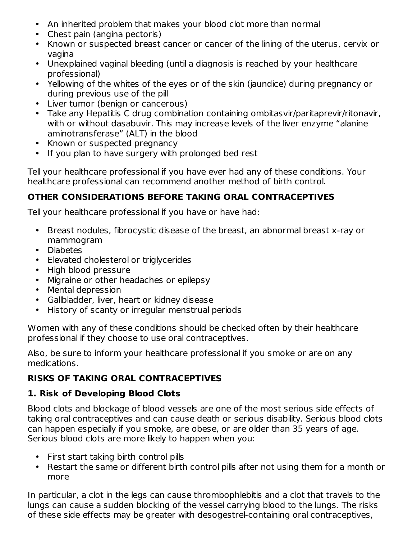- An inherited problem that makes your blood clot more than normal
- Chest pain (angina pectoris)
- Known or suspected breast cancer or cancer of the lining of the uterus, cervix or vagina
- Unexplained vaginal bleeding (until a diagnosis is reached by your healthcare professional)
- Yellowing of the whites of the eyes or of the skin (jaundice) during pregnancy or during previous use of the pill
- Liver tumor (benign or cancerous)
- Take any Hepatitis C drug combination containing ombitasvir/paritaprevir/ritonavir, with or without dasabuvir. This may increase levels of the liver enzyme "alanine" aminotransferase" (ALT) in the blood
- Known or suspected pregnancy
- If you plan to have surgery with prolonged bed rest

Tell your healthcare professional if you have ever had any of these conditions. Your healthcare professional can recommend another method of birth control.

## **OTHER CONSIDERATIONS BEFORE TAKING ORAL CONTRACEPTIVES**

Tell your healthcare professional if you have or have had:

- Breast nodules, fibrocystic disease of the breast, an abnormal breast x-ray or mammogram
- Diabetes
- Elevated cholesterol or triglycerides
- High blood pressure
- Migraine or other headaches or epilepsy
- Mental depression
- Gallbladder, liver, heart or kidney disease
- History of scanty or irregular menstrual periods

Women with any of these conditions should be checked often by their healthcare professional if they choose to use oral contraceptives.

Also, be sure to inform your healthcare professional if you smoke or are on any medications.

# **RISKS OF TAKING ORAL CONTRACEPTIVES**

### **1. Risk of Developing Blood Clots**

Blood clots and blockage of blood vessels are one of the most serious side effects of taking oral contraceptives and can cause death or serious disability. Serious blood clots can happen especially if you smoke, are obese, or are older than 35 years of age. Serious blood clots are more likely to happen when you:

- First start taking birth control pills
- Restart the same or different birth control pills after not using them for a month or more

In particular, a clot in the legs can cause thrombophlebitis and a clot that travels to the lungs can cause a sudden blocking of the vessel carrying blood to the lungs. The risks of these side effects may be greater with desogestrel-containing oral contraceptives,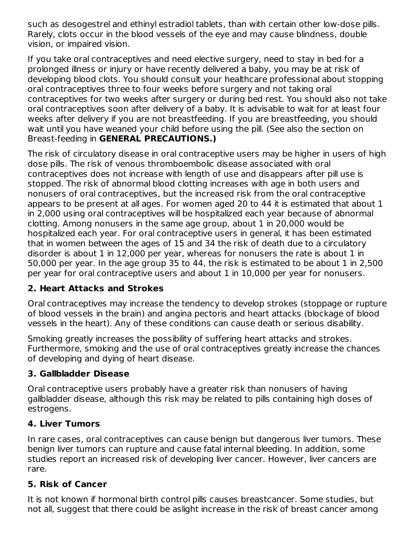such as desogestrel and ethinyl estradiol tablets, than with certain other low-dose pills. Rarely, clots occur in the blood vessels of the eye and may cause blindness, double vision, or impaired vision.

If you take oral contraceptives and need elective surgery, need to stay in bed for a prolonged illness or injury or have recently delivered a baby, you may be at risk of developing blood clots. You should consult your healthcare professional about stopping oral contraceptives three to four weeks before surgery and not taking oral contraceptives for two weeks after surgery or during bed rest. You should also not take oral contraceptives soon after delivery of a baby. It is advisable to wait for at least four weeks after delivery if you are not breastfeeding. If you are breastfeeding, you should wait until you have weaned your child before using the pill. (See also the section on Breast-feeding in **GENERAL PRECAUTIONS.)**

The risk of circulatory disease in oral contraceptive users may be higher in users of high dose pills. The risk of venous thromboembolic disease associated with oral contraceptives does not increase with length of use and disappears after pill use is stopped. The risk of abnormal blood clotting increases with age in both users and nonusers of oral contraceptives, but the increased risk from the oral contraceptive appears to be present at all ages. For women aged 20 to 44 it is estimated that about 1 in 2,000 using oral contraceptives will be hospitalized each year because of abnormal clotting. Among nonusers in the same age group, about 1 in 20,000 would be hospitalized each year. For oral contraceptive users in general, it has been estimated that in women between the ages of 15 and 34 the risk of death due to a circulatory disorder is about 1 in 12,000 per year, whereas for nonusers the rate is about 1 in 50,000 per year. In the age group 35 to 44, the risk is estimated to be about 1 in 2,500 per year for oral contraceptive users and about 1 in 10,000 per year for nonusers.

### **2. Heart Attacks and Strokes**

Oral contraceptives may increase the tendency to develop strokes (stoppage or rupture of blood vessels in the brain) and angina pectoris and heart attacks (blockage of blood vessels in the heart). Any of these conditions can cause death or serious disability.

Smoking greatly increases the possibility of suffering heart attacks and strokes. Furthermore, smoking and the use of oral contraceptives greatly increase the chances of developing and dying of heart disease.

### **3. Gallbladder Disease**

Oral contraceptive users probably have a greater risk than nonusers of having gallbladder disease, although this risk may be related to pills containing high doses of estrogens.

### **4. Liver Tumors**

In rare cases, oral contraceptives can cause benign but dangerous liver tumors. These benign liver tumors can rupture and cause fatal internal bleeding. In addition, some studies report an increased risk of developing liver cancer. However, liver cancers are rare.

### **5. Risk of Cancer**

It is not known if hormonal birth control pills causes breastcancer. Some studies, but not all, suggest that there could be aslight increase in the risk of breast cancer among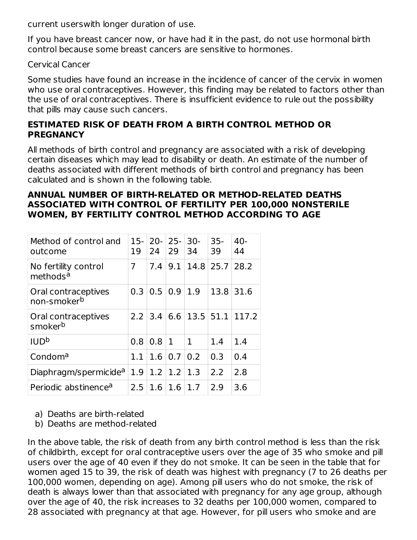current userswith longer duration of use.

If you have breast cancer now, or have had it in the past, do not use hormonal birth control because some breast cancers are sensitive to hormones.

Cervical Cancer

Some studies have found an increase in the incidence of cancer of the cervix in women who use oral contraceptives. However, this finding may be related to factors other than the use of oral contraceptives. There is insufficient evidence to rule out the possibility that pills may cause such cancers.

#### **ESTIMATED RISK OF DEATH FROM A BIRTH CONTROL METHOD OR PREGNANCY**

All methods of birth control and pregnancy are associated with a risk of developing certain diseases which may lead to disability or death. An estimate of the number of deaths associated with different methods of birth control and pregnancy has been calculated and is shown in the following table.

#### **ANNUAL NUMBER OF BIRTH-RELATED OR METHOD-RELATED DEATHS ASSOCIATED WITH CONTROL OF FERTILITY PER 100,000 NONSTERILE WOMEN, BY FERTILITY CONTROL METHOD ACCORDING TO AGE**

| Method of control and<br>outcome               | $15-$<br>19 | $20 - 1$<br>24 | $25 -$<br>29 | $30-$<br>34 | $35 -$<br>39 | $40-$<br>44 |
|------------------------------------------------|-------------|----------------|--------------|-------------|--------------|-------------|
| No fertility control<br>methods <sup>a</sup>   | 7           | 7.4            | 9.1          | 14.8        | 25.7         | 28.2        |
| Oral contraceptives<br>non-smoker <sup>b</sup> | 0.3         | 0.5            | 0.9          | 1.9         | 13.8         | 31.6        |
| Oral contraceptives<br>smokerb                 | 2.2         | 3.4            | 6.6          | 13.5        | 51.1         | 117.2       |
| IUD <sup>b</sup>                               | 0.8         | 0.8            | 1            | 1           | 1.4          | 1.4         |
| Condom <sup>a</sup>                            | 1.1         | 1.6            | 0.7          | 0.2         | 0.3          | 0.4         |
| Diaphragm/spermicide <sup>a</sup>              | 1.9         | 1.2            | 1.2          | 1.3         | 2.2          | 2.8         |
| Periodic abstinence <sup>a</sup>               | 2.5         | 1.6            | 1.6          | 1.7         | 2.9          | 3.6         |

a) Deaths are birth-related

b) Deaths are method-related

In the above table, the risk of death from any birth control method is less than the risk of childbirth, except for oral contraceptive users over the age of 35 who smoke and pill users over the age of 40 even if they do not smoke. It can be seen in the table that for women aged 15 to 39, the risk of death was highest with pregnancy (7 to 26 deaths per 100,000 women, depending on age). Among pill users who do not smoke, the risk of death is always lower than that associated with pregnancy for any age group, although over the age of 40, the risk increases to 32 deaths per 100,000 women, compared to 28 associated with pregnancy at that age. However, for pill users who smoke and are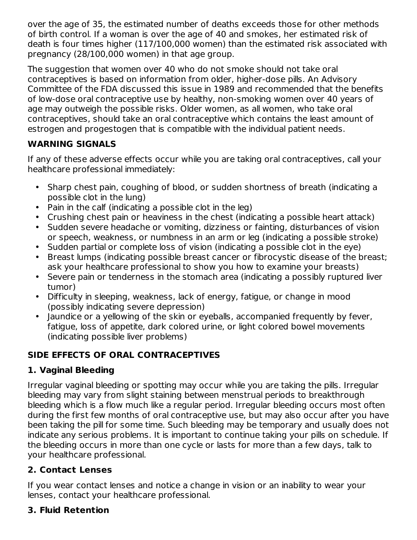over the age of 35, the estimated number of deaths exceeds those for other methods of birth control. If a woman is over the age of 40 and smokes, her estimated risk of death is four times higher (117/100,000 women) than the estimated risk associated with pregnancy (28/100,000 women) in that age group.

The suggestion that women over 40 who do not smoke should not take oral contraceptives is based on information from older, higher-dose pills. An Advisory Committee of the FDA discussed this issue in 1989 and recommended that the benefits of low-dose oral contraceptive use by healthy, non-smoking women over 40 years of age may outweigh the possible risks. Older women, as all women, who take oral contraceptives, should take an oral contraceptive which contains the least amount of estrogen and progestogen that is compatible with the individual patient needs.

# **WARNING SIGNALS**

If any of these adverse effects occur while you are taking oral contraceptives, call your healthcare professional immediately:

- Sharp chest pain, coughing of blood, or sudden shortness of breath (indicating a possible clot in the lung)
- Pain in the calf (indicating a possible clot in the leg)
- Crushing chest pain or heaviness in the chest (indicating a possible heart attack)
- Sudden severe headache or vomiting, dizziness or fainting, disturbances of vision or speech, weakness, or numbness in an arm or leg (indicating a possible stroke)
- Sudden partial or complete loss of vision (indicating a possible clot in the eye)
- Breast lumps (indicating possible breast cancer or fibrocystic disease of the breast; ask your healthcare professional to show you how to examine your breasts)
- Severe pain or tenderness in the stomach area (indicating a possibly ruptured liver tumor)
- Difficulty in sleeping, weakness, lack of energy, fatigue, or change in mood (possibly indicating severe depression)
- Jaundice or a yellowing of the skin or eyeballs, accompanied frequently by fever, fatigue, loss of appetite, dark colored urine, or light colored bowel movements (indicating possible liver problems)

# **SIDE EFFECTS OF ORAL CONTRACEPTIVES**

# **1. Vaginal Bleeding**

Irregular vaginal bleeding or spotting may occur while you are taking the pills. Irregular bleeding may vary from slight staining between menstrual periods to breakthrough bleeding which is a flow much like a regular period. Irregular bleeding occurs most often during the first few months of oral contraceptive use, but may also occur after you have been taking the pill for some time. Such bleeding may be temporary and usually does not indicate any serious problems. It is important to continue taking your pills on schedule. If the bleeding occurs in more than one cycle or lasts for more than a few days, talk to your healthcare professional.

# **2. Contact Lenses**

If you wear contact lenses and notice a change in vision or an inability to wear your lenses, contact your healthcare professional.

# **3. Fluid Retention**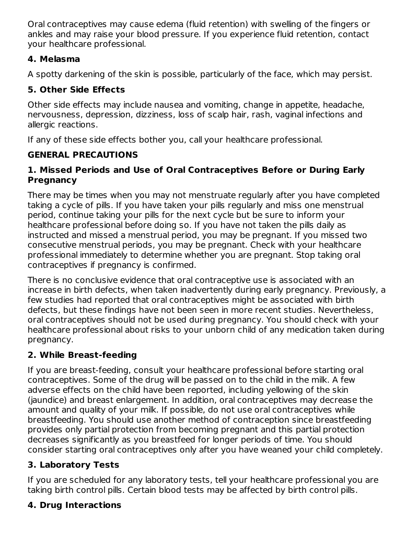Oral contraceptives may cause edema (fluid retention) with swelling of the fingers or ankles and may raise your blood pressure. If you experience fluid retention, contact your healthcare professional.

# **4. Melasma**

A spotty darkening of the skin is possible, particularly of the face, which may persist.

# **5. Other Side Effects**

Other side effects may include nausea and vomiting, change in appetite, headache, nervousness, depression, dizziness, loss of scalp hair, rash, vaginal infections and allergic reactions.

If any of these side effects bother you, call your healthcare professional.

# **GENERAL PRECAUTIONS**

# **1. Missed Periods and Use of Oral Contraceptives Before or During Early Pregnancy**

There may be times when you may not menstruate regularly after you have completed taking a cycle of pills. If you have taken your pills regularly and miss one menstrual period, continue taking your pills for the next cycle but be sure to inform your healthcare professional before doing so. If you have not taken the pills daily as instructed and missed a menstrual period, you may be pregnant. If you missed two consecutive menstrual periods, you may be pregnant. Check with your healthcare professional immediately to determine whether you are pregnant. Stop taking oral contraceptives if pregnancy is confirmed.

There is no conclusive evidence that oral contraceptive use is associated with an increase in birth defects, when taken inadvertently during early pregnancy. Previously, a few studies had reported that oral contraceptives might be associated with birth defects, but these findings have not been seen in more recent studies. Nevertheless, oral contraceptives should not be used during pregnancy. You should check with your healthcare professional about risks to your unborn child of any medication taken during pregnancy.

# **2. While Breast-feeding**

If you are breast-feeding, consult your healthcare professional before starting oral contraceptives. Some of the drug will be passed on to the child in the milk. A few adverse effects on the child have been reported, including yellowing of the skin (jaundice) and breast enlargement. In addition, oral contraceptives may decrease the amount and quality of your milk. If possible, do not use oral contraceptives while breastfeeding. You should use another method of contraception since breastfeeding provides only partial protection from becoming pregnant and this partial protection decreases significantly as you breastfeed for longer periods of time. You should consider starting oral contraceptives only after you have weaned your child completely.

# **3. Laboratory Tests**

If you are scheduled for any laboratory tests, tell your healthcare professional you are taking birth control pills. Certain blood tests may be affected by birth control pills.

# **4. Drug Interactions**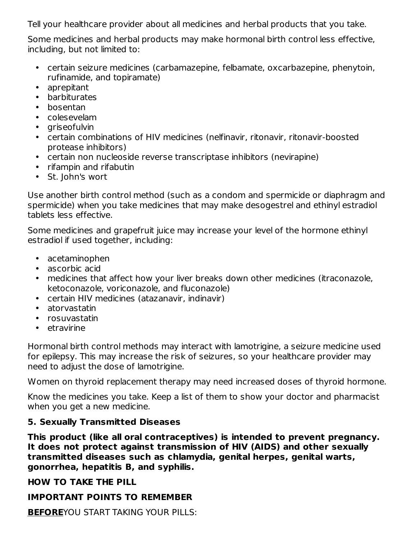Tell your healthcare provider about all medicines and herbal products that you take.

Some medicines and herbal products may make hormonal birth control less effective, including, but not limited to:

- certain seizure medicines (carbamazepine, felbamate, oxcarbazepine, phenytoin, rufinamide, and topiramate)
- aprepitant
- barbiturates
- bosentan
- colesevelam
- griseofulvin
- certain combinations of HIV medicines (nelfinavir, ritonavir, ritonavir-boosted protease inhibitors)
- certain non nucleoside reverse transcriptase inhibitors (nevirapine)
- rifampin and rifabutin
- St. John's wort

Use another birth control method (such as a condom and spermicide or diaphragm and spermicide) when you take medicines that may make desogestrel and ethinyl estradiol tablets less effective.

Some medicines and grapefruit juice may increase your level of the hormone ethinyl estradiol if used together, including:

- acetaminophen
- ascorbic acid
- medicines that affect how your liver breaks down other medicines (itraconazole, ketoconazole, voriconazole, and fluconazole)
- certain HIV medicines (atazanavir, indinavir)
- atorvastatin
- rosuvastatin
- etravirine

Hormonal birth control methods may interact with lamotrigine, a seizure medicine used for epilepsy. This may increase the risk of seizures, so your healthcare provider may need to adjust the dose of lamotrigine.

Women on thyroid replacement therapy may need increased doses of thyroid hormone.

Know the medicines you take. Keep a list of them to show your doctor and pharmacist when you get a new medicine.

### **5. Sexually Transmitted Diseases**

**This product (like all oral contraceptives) is intended to prevent pregnancy. It does not protect against transmission of HIV (AIDS) and other sexually transmitted diseases such as chlamydia, genital herpes, genital warts, gonorrhea, hepatitis B, and syphilis.**

### **HOW TO TAKE THE PILL**

# **IMPORTANT POINTS TO REMEMBER**

**BEFORE**YOU START TAKING YOUR PILLS: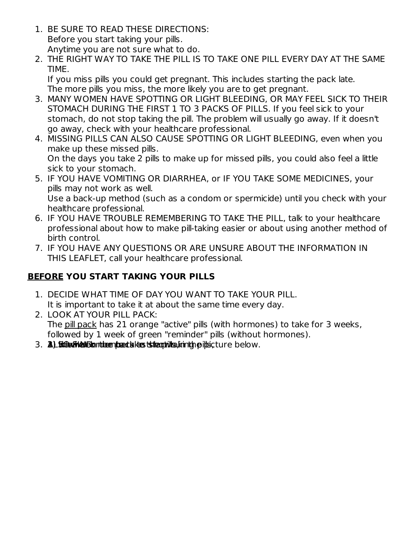- 1. BE SURE TO READ THESE DIRECTIONS: Before you start taking your pills. Anytime you are not sure what to do.
- 2. THE RIGHT WAY TO TAKE THE PILL IS TO TAKE ONE PILL EVERY DAY AT THE SAME TIME.

If you miss pills you could get pregnant. This includes starting the pack late. The more pills you miss, the more likely you are to get pregnant.

- 3. MANY WOMEN HAVE SPOTTING OR LIGHT BLEEDING, OR MAY FEEL SICK TO THEIR STOMACH DURING THE FIRST 1 TO 3 PACKS OF PILLS. If you feel sick to your stomach, do not stop taking the pill. The problem will usually go away. If it doesn't go away, check with your healthcare professional.
- 4. MISSING PILLS CAN ALSO CAUSE SPOTTING OR LIGHT BLEEDING, even when you make up these missed pills. On the days you take 2 pills to make up for missed pills, you could also feel a little sick to your stomach.
- 5. IF YOU HAVE VOMITING OR DIARRHEA, or IF YOU TAKE SOME MEDICINES, your pills may not work as well. Use a back-up method (such as a condom or spermicide) until you check with your healthcare professional.
- 6. IF YOU HAVE TROUBLE REMEMBERING TO TAKE THE PILL, talk to your healthcare professional about how to make pill-taking easier or about using another method of birth control.
- 7. IF YOU HAVE ANY QUESTIONS OR ARE UNSURE ABOUT THE INFORMATION IN THIS LEAFLET, call your healthcare professional.

# **BEFORE YOU START TAKING YOUR PILLS**

- 1. DECIDE WHAT TIME OF DAY YOU WANT TO TAKE YOUR PILL. It is important to take it at about the same time every day.
- 2. LOOK AT YOUR PILL PACK: The pill pack has 21 orange "active" pills (with hormones) to take for 3 weeks, followed by 1 week of green "reminder" pills (without hormones).
- 3. **AL Suite-Erweil Blantus en prædtskests langtviltsa, krintghe**pilpsicture below.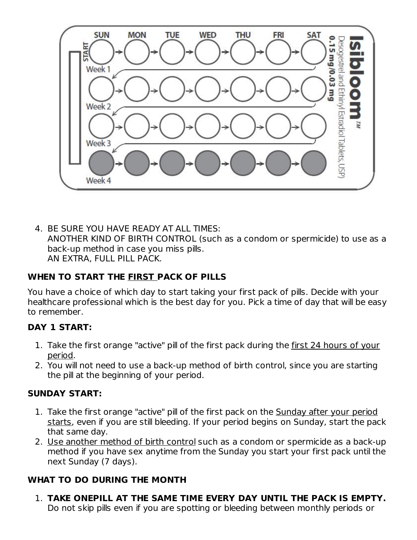

4. BE SURE YOU HAVE READY AT ALL TIMES: ANOTHER KIND OF BIRTH CONTROL (such as a condom or spermicide) to use as a back-up method in case you miss pills. AN EXTRA, FULL PILL PACK.

# **WHEN TO START THE FIRST PACK OF PILLS**

You have a choice of which day to start taking your first pack of pills. Decide with your healthcare professional which is the best day for you. Pick a time of day that will be easy to remember.

### **DAY 1 START:**

- 1. Take the first orange "active" pill of the first pack during the first 24 hours of your period.
- 2. You will not need to use a back-up method of birth control, since you are starting the pill at the beginning of your period.

### **SUNDAY START:**

- 1. Take the first orange "active" pill of the first pack on the Sunday after your period starts, even if you are still bleeding. If your period begins on Sunday, start the pack that same day.
- 2. Use another method of birth control such as a condom or spermicide as a back-up method if you have sex anytime from the Sunday you start your first pack until the next Sunday (7 days).

### **WHAT TO DO DURING THE MONTH**

1. **TAKE ONEPILL AT THE SAME TIME EVERY DAY UNTIL THE PACK IS EMPTY.** Do not skip pills even if you are spotting or bleeding between monthly periods or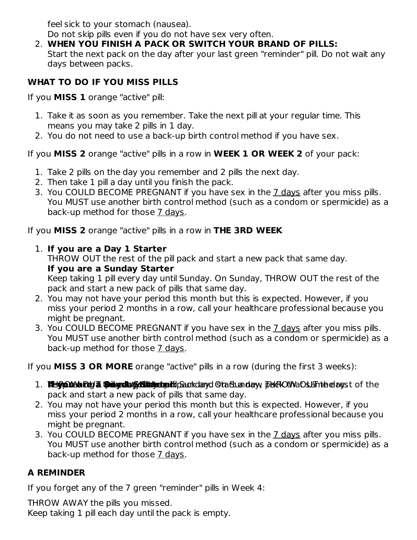feel sick to your stomach (nausea).

Do not skip pills even if you do not have sex very often.

2. **WHEN YOU FINISH A PACK OR SWITCH YOUR BRAND OF PILLS:** Start the next pack on the day after your last green "reminder" pill. Do not wait any days between packs.

## **WHAT TO DO IF YOU MISS PILLS**

If you **MISS 1** orange "active" pill:

- 1. Take it as soon as you remember. Take the next pill at your regular time. This means you may take 2 pills in 1 day.
- 2. You do not need to use a back-up birth control method if you have sex.

If you **MISS 2** orange "active" pills in a row in **WEEK 1 OR WEEK 2** of your pack:

- 1. Take 2 pills on the day you remember and 2 pills the next day.
- 2. Then take 1 pill a day until you finish the pack.
- 3. You COULD BECOME PREGNANT if you have sex in the <u>7 days</u> after you miss pills. You MUST use another birth control method (such as a condom or spermicide) as a back-up method for those 7 days.

If you **MISS 2** orange "active" pills in a row in **THE 3RD WEEK**

## 1. **If you are a Day 1 Starter**

THROW OUT the rest of the pill pack and start a new pack that same day.

## **If you are a Sunday Starter**

Keep taking 1 pill every day until Sunday. On Sunday, THROW OUT the rest of the pack and start a new pack of pills that same day.

- 2. You may not have your period this month but this is expected. However, if you miss your period 2 months in a row, call your healthcare professional because you might be pregnant.
- 3. You COULD BECOME PREGNANT if you have sex in the <u>7 days</u> after you miss pills. You MUST use another birth control method (such as a condom or spermicide) as a back-up method for those 7 days.

If you **MISS 3 OR MORE** orange "active" pills in a row (during the first 3 weeks):

- 1. **Melyhoutakainey a the angeliaty of state participane of the state of the state of the state of the state of the state of the state of the state of the state of the state of the state of the state of the state of the st** pack and start a new pack of pills that same day.
- 2. You may not have your period this month but this is expected. However, if you miss your period 2 months in a row, call your healthcare professional because you might be pregnant.
- 3. You COULD BECOME PREGNANT if you have sex in the 7 days after you miss pills. You MUST use another birth control method (such as a condom or spermicide) as a back-up method for those 7 days.

# **A REMINDER**

If you forget any of the 7 green "reminder" pills in Week 4:

THROW AWAY the pills you missed.

Keep taking 1 pill each day until the pack is empty.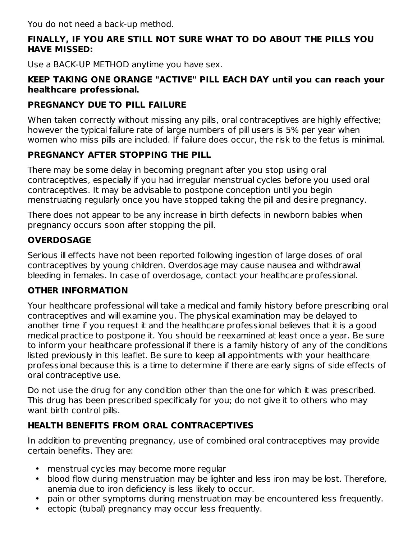You do not need a back-up method.

#### **FINALLY, IF YOU ARE STILL NOT SURE WHAT TO DO ABOUT THE PILLS YOU HAVE MISSED:**

Use a BACK-UP METHOD anytime you have sex.

#### **KEEP TAKING ONE ORANGE "ACTIVE" PILL EACH DAY until you can reach your healthcare professional.**

## **PREGNANCY DUE TO PILL FAILURE**

When taken correctly without missing any pills, oral contraceptives are highly effective; however the typical failure rate of large numbers of pill users is 5% per year when women who miss pills are included. If failure does occur, the risk to the fetus is minimal.

# **PREGNANCY AFTER STOPPING THE PILL**

There may be some delay in becoming pregnant after you stop using oral contraceptives, especially if you had irregular menstrual cycles before you used oral contraceptives. It may be advisable to postpone conception until you begin menstruating regularly once you have stopped taking the pill and desire pregnancy.

There does not appear to be any increase in birth defects in newborn babies when pregnancy occurs soon after stopping the pill.

# **OVERDOSAGE**

Serious ill effects have not been reported following ingestion of large doses of oral contraceptives by young children. Overdosage may cause nausea and withdrawal bleeding in females. In case of overdosage, contact your healthcare professional.

# **OTHER INFORMATION**

Your healthcare professional will take a medical and family history before prescribing oral contraceptives and will examine you. The physical examination may be delayed to another time if you request it and the healthcare professional believes that it is a good medical practice to postpone it. You should be reexamined at least once a year. Be sure to inform your healthcare professional if there is a family history of any of the conditions listed previously in this leaflet. Be sure to keep all appointments with your healthcare professional because this is a time to determine if there are early signs of side effects of oral contraceptive use.

Do not use the drug for any condition other than the one for which it was prescribed. This drug has been prescribed specifically for you; do not give it to others who may want birth control pills.

# **HEALTH BENEFITS FROM ORAL CONTRACEPTIVES**

In addition to preventing pregnancy, use of combined oral contraceptives may provide certain benefits. They are:

- menstrual cycles may become more regular
- blood flow during menstruation may be lighter and less iron may be lost. Therefore, anemia due to iron deficiency is less likely to occur.
- pain or other symptoms during menstruation may be encountered less frequently.
- $\bullet$ ectopic (tubal) pregnancy may occur less frequently.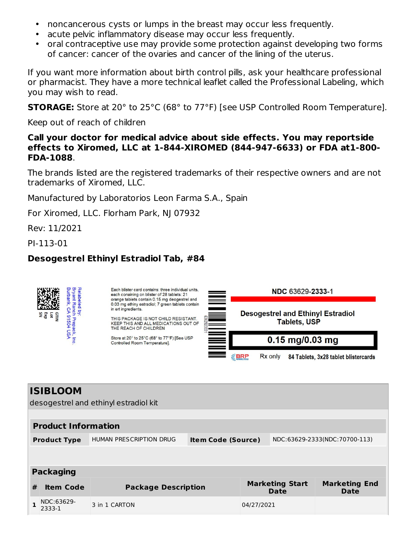- noncancerous cysts or lumps in the breast may occur less frequently.
- acute pelvic inflammatory disease may occur less frequently.
- oral contraceptive use may provide some protection against developing two forms of cancer: cancer of the ovaries and cancer of the lining of the uterus.

If you want more information about birth control pills, ask your healthcare professional or pharmacist. They have a more technical leaflet called the Professional Labeling, which you may wish to read.

**STORAGE:** Store at 20° to 25°C (68° to 77°F) [see USP Controlled Room Temperature].

Keep out of reach of children

#### **Call your doctor for medical advice about side effects. You may reportside effects to Xiromed, LLC at 1-844-XIROMED (844-947-6633) or FDA at1-800- FDA-1088**.

The brands listed are the registered trademarks of their respective owners and are not trademarks of Xiromed, LLC.

Manufactured by Laboratorios Leon Farma S.A., Spain

For Xiromed, LLC. Florham Park, NJ 07932

Rev: 11/2021

PI-113-01

### **Desogestrel Ethinyl Estradiol Tab, #84**



#### **ISIBLOOM** desogestrel and ethinyl estradiol kit **Product Information Product Type** HUMAN PRESCRIPTION DRUG **Item Code (Source)** NDC:63629-2333(NDC:70700-113) **Packaging # Item Code Package Description Marketing Start Date Marketing End Date 1** NDC:63629- 2333-1 3 in 1 CARTON 04/27/2021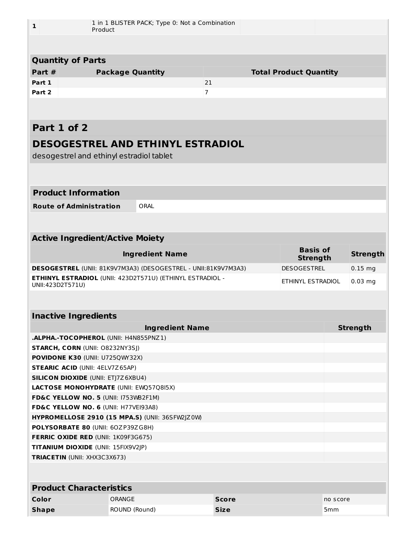| $\mathbf{1}$                                                              | 1 in 1 BLISTER PACK; Type 0: Not a Combination<br>Product |                                                                |                             |  |                                    |                             |                 |
|---------------------------------------------------------------------------|-----------------------------------------------------------|----------------------------------------------------------------|-----------------------------|--|------------------------------------|-----------------------------|-----------------|
|                                                                           |                                                           |                                                                |                             |  |                                    |                             |                 |
| <b>Quantity of Parts</b>                                                  |                                                           |                                                                |                             |  |                                    |                             |                 |
| Part #                                                                    | <b>Package Quantity</b>                                   |                                                                |                             |  | <b>Total Product Quantity</b>      |                             |                 |
| Part 1                                                                    |                                                           |                                                                | 21                          |  |                                    |                             |                 |
| Part 2                                                                    |                                                           |                                                                | 7                           |  |                                    |                             |                 |
|                                                                           |                                                           |                                                                |                             |  |                                    |                             |                 |
| Part 1 of 2                                                               |                                                           |                                                                |                             |  |                                    |                             |                 |
|                                                                           |                                                           | <b>DESOGESTREL AND ETHINYL ESTRADIOL</b>                       |                             |  |                                    |                             |                 |
| desogestrel and ethinyl estradiol tablet                                  |                                                           |                                                                |                             |  |                                    |                             |                 |
|                                                                           |                                                           |                                                                |                             |  |                                    |                             |                 |
| <b>Product Information</b>                                                |                                                           |                                                                |                             |  |                                    |                             |                 |
| <b>Route of Administration</b>                                            |                                                           | ORAL                                                           |                             |  |                                    |                             |                 |
|                                                                           |                                                           |                                                                |                             |  |                                    |                             |                 |
|                                                                           |                                                           |                                                                |                             |  |                                    |                             |                 |
| <b>Active Ingredient/Active Moiety</b>                                    |                                                           |                                                                |                             |  |                                    |                             |                 |
|                                                                           |                                                           | <b>Ingredient Name</b>                                         |                             |  | <b>Basis of</b><br><b>Strength</b> |                             | <b>Strength</b> |
|                                                                           |                                                           | DESOGESTREL (UNII: 81K9V7M3A3) (DESOGESTREL - UNII:81K9V7M3A3) |                             |  | <b>DESOGESTREL</b>                 |                             | $0.15$ mg       |
| UNII:423D2T571U)                                                          |                                                           | ETHINYL ESTRADIOL (UNII: 423D2T571U) (ETHINYL ESTRADIOL -      |                             |  | ETHINYL ESTRADIOL                  |                             | $0.03$ mg       |
|                                                                           |                                                           |                                                                |                             |  |                                    |                             |                 |
|                                                                           |                                                           |                                                                |                             |  |                                    |                             |                 |
|                                                                           |                                                           |                                                                |                             |  |                                    |                             |                 |
| <b>Inactive Ingredients</b>                                               |                                                           |                                                                |                             |  |                                    |                             |                 |
|                                                                           |                                                           | <b>Ingredient Name</b>                                         |                             |  |                                    |                             | <b>Strength</b> |
| .ALPHA.-TOCOPHEROL (UNII: H4N855PNZ1)                                     |                                                           |                                                                |                             |  |                                    |                             |                 |
| <b>STARCH, CORN (UNII: O8232NY3SJ)</b><br>POVIDONE K30 (UNII: U725QWY32X) |                                                           |                                                                |                             |  |                                    |                             |                 |
| <b>STEARIC ACID (UNII: 4ELV7Z65AP)</b>                                    |                                                           |                                                                |                             |  |                                    |                             |                 |
| <b>SILICON DIOXIDE (UNII: ETJ7Z6XBU4)</b>                                 |                                                           |                                                                |                             |  |                                    |                             |                 |
| <b>LACTOSE MONOHYDRATE (UNII: EWQ57Q8I5X)</b>                             |                                                           |                                                                |                             |  |                                    |                             |                 |
| FD&C YELLOW NO. 5 (UNII: I753WB2F1M)                                      |                                                           |                                                                |                             |  |                                    |                             |                 |
| FD&C YELLOW NO. 6 (UNII: H77VEI93A8)                                      |                                                           |                                                                |                             |  |                                    |                             |                 |
|                                                                           |                                                           | HYPROMELLOSE 2910 (15 MPA.S) (UNII: 36SFW2JZ0W)                |                             |  |                                    |                             |                 |
| POLYSORBATE 80 (UNII: 60ZP39ZG8H)                                         |                                                           |                                                                |                             |  |                                    |                             |                 |
| FERRIC OXIDE RED (UNII: 1K09F3G675)                                       |                                                           |                                                                |                             |  |                                    |                             |                 |
| TITANIUM DIOXIDE (UNII: 15FIX9V2JP)                                       |                                                           |                                                                |                             |  |                                    |                             |                 |
| <b>TRIACETIN (UNII: XHX3C3X673)</b>                                       |                                                           |                                                                |                             |  |                                    |                             |                 |
|                                                                           |                                                           |                                                                |                             |  |                                    |                             |                 |
|                                                                           |                                                           |                                                                |                             |  |                                    |                             |                 |
| <b>Product Characteristics</b>                                            |                                                           |                                                                |                             |  |                                    |                             |                 |
| Color<br><b>Shape</b>                                                     | ORANGE<br>ROUND (Round)                                   |                                                                | <b>Score</b><br><b>Size</b> |  |                                    | no score<br>5 <sub>mm</sub> |                 |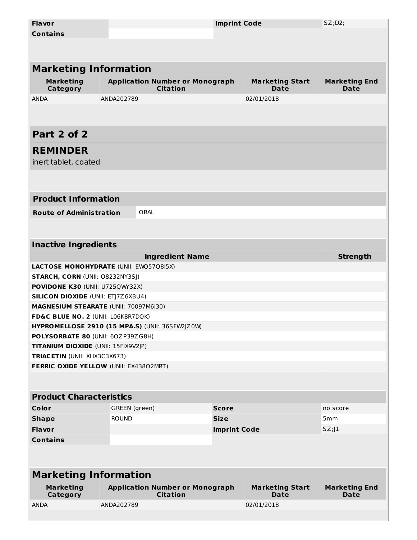| <b>Flavor</b>                                   |                                                                                                    |                                        | <b>Imprint Code</b> |                        | $SZ$ ; D2;           |  |  |  |
|-------------------------------------------------|----------------------------------------------------------------------------------------------------|----------------------------------------|---------------------|------------------------|----------------------|--|--|--|
| <b>Contains</b>                                 |                                                                                                    |                                        |                     |                        |                      |  |  |  |
|                                                 |                                                                                                    |                                        |                     |                        |                      |  |  |  |
|                                                 |                                                                                                    |                                        |                     |                        |                      |  |  |  |
| <b>Marketing Information</b>                    |                                                                                                    |                                        |                     |                        |                      |  |  |  |
| <b>Marketing</b>                                |                                                                                                    |                                        |                     |                        | <b>Marketing End</b> |  |  |  |
| <b>Category</b>                                 | <b>Application Number or Monograph</b><br><b>Marketing Start</b><br><b>Citation</b><br><b>Date</b> |                                        |                     |                        | <b>Date</b>          |  |  |  |
| <b>ANDA</b>                                     | ANDA202789                                                                                         |                                        |                     | 02/01/2018             |                      |  |  |  |
|                                                 |                                                                                                    |                                        |                     |                        |                      |  |  |  |
|                                                 |                                                                                                    |                                        |                     |                        |                      |  |  |  |
| Part 2 of 2                                     |                                                                                                    |                                        |                     |                        |                      |  |  |  |
| <b>REMINDER</b>                                 |                                                                                                    |                                        |                     |                        |                      |  |  |  |
| inert tablet, coated                            |                                                                                                    |                                        |                     |                        |                      |  |  |  |
|                                                 |                                                                                                    |                                        |                     |                        |                      |  |  |  |
|                                                 |                                                                                                    |                                        |                     |                        |                      |  |  |  |
| <b>Product Information</b>                      |                                                                                                    |                                        |                     |                        |                      |  |  |  |
| <b>Route of Administration</b>                  |                                                                                                    | ORAL                                   |                     |                        |                      |  |  |  |
|                                                 |                                                                                                    |                                        |                     |                        |                      |  |  |  |
|                                                 |                                                                                                    |                                        |                     |                        |                      |  |  |  |
| <b>Inactive Ingredients</b>                     |                                                                                                    |                                        |                     |                        |                      |  |  |  |
|                                                 |                                                                                                    | <b>Ingredient Name</b>                 |                     |                        | <b>Strength</b>      |  |  |  |
| LACTOSE MONOHYDRATE (UNII: EWQ57Q8I5X)          |                                                                                                    |                                        |                     |                        |                      |  |  |  |
| STARCH, CORN (UNII: O8232NY3SJ)                 |                                                                                                    |                                        |                     |                        |                      |  |  |  |
| POVIDONE K30 (UNII: U725QWY32X)                 |                                                                                                    |                                        |                     |                        |                      |  |  |  |
| <b>SILICON DIOXIDE (UNII: ETJ7Z6XBU4)</b>       |                                                                                                    |                                        |                     |                        |                      |  |  |  |
| MAGNESIUM STEARATE (UNII: 70097M6I30)           |                                                                                                    |                                        |                     |                        |                      |  |  |  |
| FD&C BLUE NO. 2 (UNII: L06K8R7DQK)              |                                                                                                    |                                        |                     |                        |                      |  |  |  |
| HYPROMELLOSE 2910 (15 MPA.S) (UNII: 36SFW2JZ0W) |                                                                                                    |                                        |                     |                        |                      |  |  |  |
| POLYSORBATE 80 (UNII: 60ZP39ZG8H)               |                                                                                                    |                                        |                     |                        |                      |  |  |  |
| TITANIUM DIOXIDE (UNII: 15FIX9V2JP)             |                                                                                                    |                                        |                     |                        |                      |  |  |  |
| TRIACETIN (UNII: XHX3C3X673)                    |                                                                                                    |                                        |                     |                        |                      |  |  |  |
| FERRIC OXIDE YELLOW (UNII: EX43802MRT)          |                                                                                                    |                                        |                     |                        |                      |  |  |  |
|                                                 |                                                                                                    |                                        |                     |                        |                      |  |  |  |
|                                                 |                                                                                                    |                                        |                     |                        |                      |  |  |  |
| <b>Product Characteristics</b>                  |                                                                                                    |                                        |                     |                        |                      |  |  |  |
| Color                                           | GREEN (green)                                                                                      |                                        | <b>Score</b>        |                        | no score             |  |  |  |
| <b>Shape</b>                                    | <b>ROUND</b>                                                                                       |                                        | <b>Size</b>         |                        | 5 <sub>mm</sub>      |  |  |  |
| Flavor                                          |                                                                                                    |                                        | <b>Imprint Code</b> |                        | $SZ$ ; $J1$          |  |  |  |
| <b>Contains</b>                                 |                                                                                                    |                                        |                     |                        |                      |  |  |  |
|                                                 |                                                                                                    |                                        |                     |                        |                      |  |  |  |
| <b>Marketing Information</b>                    |                                                                                                    |                                        |                     |                        |                      |  |  |  |
| <b>Marketing</b>                                |                                                                                                    | <b>Application Number or Monograph</b> |                     | <b>Marketing Start</b> | <b>Marketing End</b> |  |  |  |
| Category                                        |                                                                                                    | <b>Citation</b>                        |                     | <b>Date</b>            | <b>Date</b>          |  |  |  |
| <b>ANDA</b>                                     | ANDA202789                                                                                         |                                        |                     | 02/01/2018             |                      |  |  |  |
|                                                 |                                                                                                    |                                        |                     |                        |                      |  |  |  |